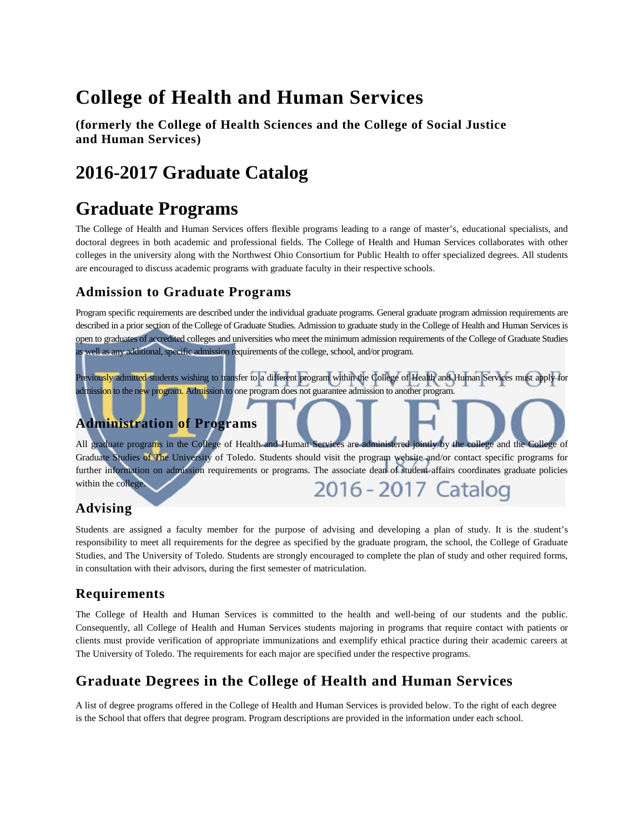# **College of Health and Human Services**

**(formerly the College of Health Sciences and the College of Social Justice and Human Services)** 

# **2016-2017 Graduate Catalog**

# **Graduate Programs**

The College of Health and Human Services offers flexible programs leading to a range of master's, educational specialists, and doctoral degrees in both academic and professional fields. The College of Health and Human Services collaborates with other colleges in the university along with the Northwest Ohio Consortium for Public Health to offer specialized degrees. All students are encouraged to discuss academic programs with graduate faculty in their respective schools.

## **Admission to Graduate Programs**

Program specific requirements are described under the individual graduate programs. General graduate program admission requirements are described in a prior section of the College of Graduate Studies. Admission to graduate study in the College of Health and Human Services is open to graduates of accredited colleges and universities who meet the minimum admission requirements of the College of Graduate Studies as well as any additional, specific admission requirements of the college, school, and/or program.

Previously admitted students wishing to transfer to a different program within the College of Health and Human Services must apply for admission to the new program. Admission to one program does not guarantee admission to another program.

## **Administration of Programs**

All graduate programs in the College of Health and Human Services are administered jointly by the college and the College of Graduate Studies of The University of Toledo. Students should visit the program website and/or contact specific programs for further information on admission requirements or programs. The associate dean of student affairs coordinates graduate policies within the college. 2016 - 2017 Catalog

## **Advising**

Students are assigned a faculty member for the purpose of advising and developing a plan of study. It is the student's responsibility to meet all requirements for the degree as specified by the graduate program, the school, the College of Graduate Studies, and The University of Toledo. Students are strongly encouraged to complete the plan of study and other required forms, in consultation with their advisors, during the first semester of matriculation.

## **Requirements**

The College of Health and Human Services is committed to the health and well-being of our students and the public. Consequently, all College of Health and Human Services students majoring in programs that require contact with patients or clients must provide verification of appropriate immunizations and exemplify ethical practice during their academic careers at The University of Toledo. The requirements for each major are specified under the respective programs.

## **Graduate Degrees in the College of Health and Human Services**

A list of degree programs offered in the College of Health and Human Services is provided below. To the right of each degree is the School that offers that degree program. Program descriptions are provided in the information under each school.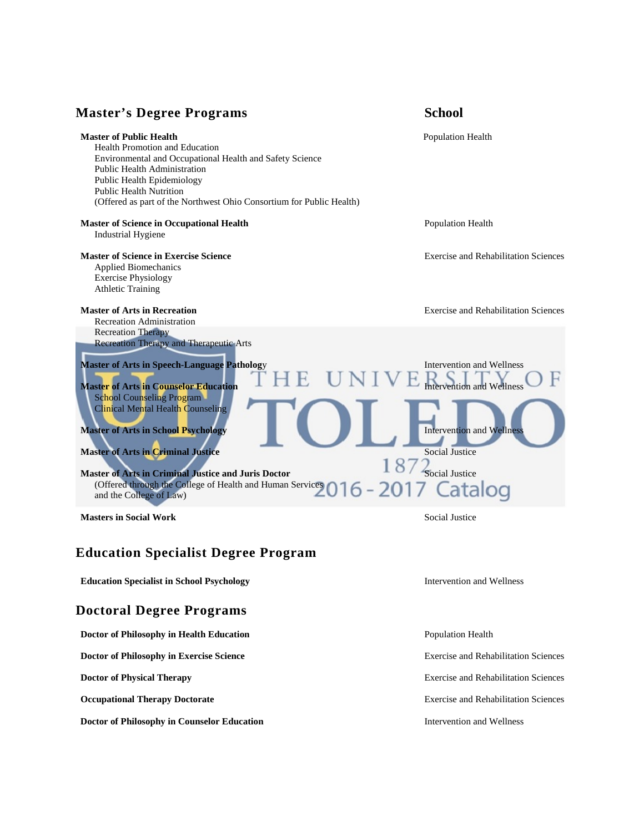## **Master's Degree Programs School**



## **Education Specialist Degree Program**

**Education Specialist in School Psychology Intervention and Wellness** *Intervention and Wellness* 

## **Doctoral Degree Programs**

**Doctor of Philosophy in Health Education Population Population Population Health** 

**Doctor of Philosophy in Exercise Science** Exercise and Rehabilitation Sciences

**Doctor of Philosophy in Counselor Education Intervention and Wellness Intervention and Wellness** 

**Doctor of Physical Therapy Exercise and Rehabilitation Sciences Exercise and Rehabilitation Sciences** 

**Occupational Therapy Doctorate Exercise and Rehabilitation Sciences Exercise and Rehabilitation Sciences**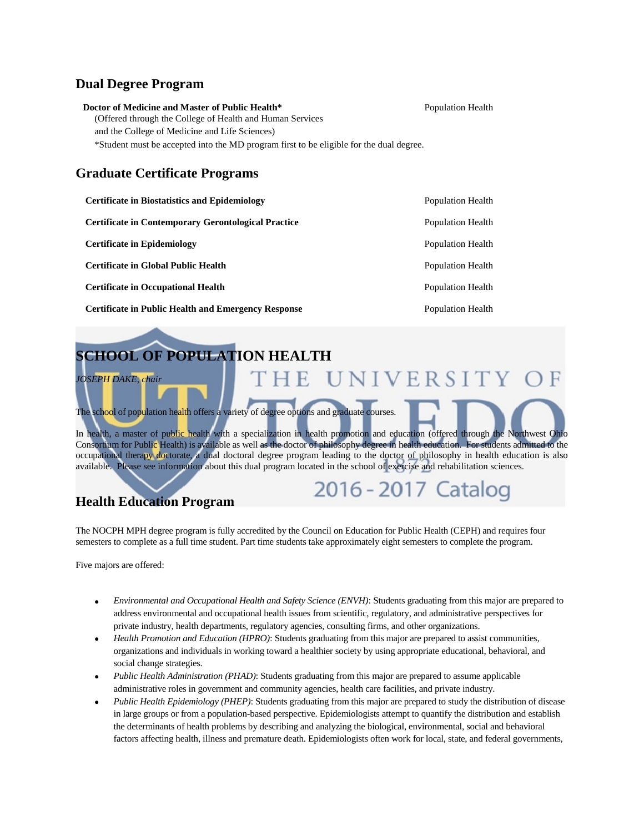## **Dual Degree Program**

| Doctor of Medicine and Master of Public Health*                                         | <b>Population Health</b> |
|-----------------------------------------------------------------------------------------|--------------------------|
| (Offered through the College of Health and Human Services)                              |                          |
| and the College of Medicine and Life Sciences)                                          |                          |
| *Student must be accepted into the MD program first to be eligible for the dual degree. |                          |

## **Graduate Certificate Programs**

| <b>Certificate in Biostatistics and Epidemiology</b>       | Population Health |
|------------------------------------------------------------|-------------------|
| <b>Certificate in Contemporary Gerontological Practice</b> | Population Health |
| <b>Certificate in Epidemiology</b>                         | Population Health |
| <b>Certificate in Global Public Health</b>                 | Population Health |
| <b>Certificate in Occupational Health</b>                  | Population Health |
| <b>Certificate in Public Health and Emergency Response</b> | Population Health |



The NOCPH MPH degree program is fully accredited by the Council on Education for Public Health (CEPH) and requires four semesters to complete as a full time student. Part time students take approximately eight semesters to complete the program.

Five majors are offered:

- *Environmental and Occupational Health and Safety Science (ENVH)*: Students graduating from this major are prepared to address environmental and occupational health issues from scientific, regulatory, and administrative perspectives for private industry, health departments, regulatory agencies, consulting firms, and other organizations.
- *Health Promotion and Education (HPRO)*: Students graduating from this major are prepared to assist communities, organizations and individuals in working toward a healthier society by using appropriate educational, behavioral, and social change strategies.
- *Public Health Administration (PHAD)*: Students graduating from this major are prepared to assume applicable administrative roles in government and community agencies, health care facilities, and private industry.
- *Public Health Epidemiology (PHEP)*: Students graduating from this major are prepared to study the distribution of disease in large groups or from a population-based perspective. Epidemiologists attempt to quantify the distribution and establish the determinants of health problems by describing and analyzing the biological, environmental, social and behavioral factors affecting health, illness and premature death. Epidemiologists often work for local, state, and federal governments,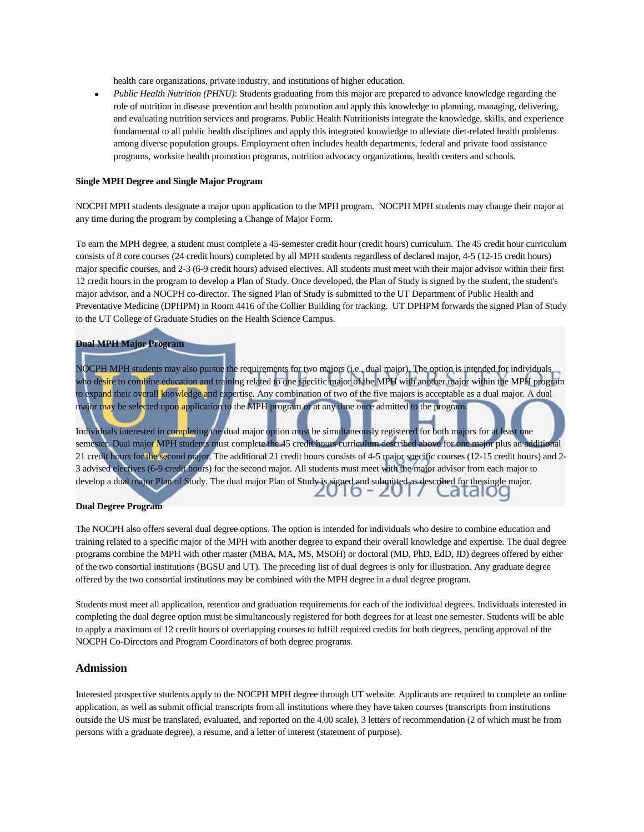health care organizations, private industry, and institutions of higher education.

• *Public Health Nutrition (PHNU)*: Students graduating from this major are prepared to advance knowledge regarding the role of nutrition in disease prevention and health promotion and apply this knowledge to planning, managing, delivering, and evaluating nutrition services and programs. Public Health Nutritionists integrate the knowledge, skills, and experience fundamental to all public health disciplines and apply this integrated knowledge to alleviate diet-related health problems among diverse population groups. Employment often includes health departments, federal and private food assistance programs, worksite health promotion programs, nutrition advocacy organizations, health centers and schools.

#### **Single MPH Degree and Single Major Program**

NOCPH MPH students designate a major upon application to the MPH program. NOCPH MPH students may change their major at any time during the program by completing a Change of Major Form.

To earn the MPH degree, a student must complete a 45-semester credit hour (credit hours) curriculum. The 45 credit hour curriculum consists of 8 core courses (24 credit hours) completed by all MPH students regardless of declared major, 4-5 (12-15 credit hours) major specific courses, and 2-3 (6-9 credit hours) advised electives. All students must meet with their major advisor within their first 12 credit hours in the program to develop a Plan of Study. Once developed, the Plan of Study is signed by the student, the student's major advisor, and a NOCPH co-director. The signed Plan of Study is submitted to the UT Department of Public Health and Preventative Medicine (DPHPM) in Room 4416 of the Collier Building for tracking. UT DPHPM forwards the signed Plan of Study to the UT College of Graduate Studies on the Health Science Campus.

#### **Dual MPH Major Program**

NOCPH MPH students may also pursue the requirements for two majors (i.e., dual major). The option is intended for individuals who desire to combine education and training related to one specific major of the MPH with another major within the MPH program to expand their overall knowledge and expertise. Any combination of two of the five majors is acceptable as a dual major. A dual major may be selected upon application to the MPH program or at any time once admitted to the program.

Individuals interested in completing the dual major option must be simultaneously registered for both majors for at least one semester. Dual major MPH students must complete the 45 credit hours curriculum described above for one major plus an additional 21 credit hours for the second major. The additional 21 credit hours consists of 4-5 major specific courses (12-15 credit hours) and 2-3 advised electives (6-9 credit hours) for the second major. All students must meet with the major advisor from each major to develop a dual major Plan of Study. The dual major Plan of Study is signed and submitted as described for the single major. atdiog

#### **Dual Degree Program**

The NOCPH also offers several dual degree options. The option is intended for individuals who desire to combine education and training related to a specific major of the MPH with another degree to expand their overall knowledge and expertise. The dual degree programs combine the MPH with other master (MBA, MA, MS, MSOH) or doctoral (MD, PhD, EdD, JD) degrees offered by either of the two consortial institutions (BGSU and UT). The preceding list of dual degrees is only for illustration. Any graduate degree offered by the two consortial institutions may be combined with the MPH degree in a dual degree program.

Students must meet all application, retention and graduation requirements for each of the individual degrees. Individuals interested in completing the dual degree option must be simultaneously registered for both degrees for at least one semester. Students will be able to apply a maximum of 12 credit hours of overlapping courses to fulfill required credits for both degrees, pending approval of the NOCPH Co-Directors and Program Coordinators of both degree programs.

#### **Admission**

Interested prospective students apply to the NOCPH MPH degree through UT website. Applicants are required to complete an online application, as well as submit official transcripts from all institutions where they have taken courses (transcripts from institutions outside the US must be translated, evaluated, and reported on the 4.00 scale), 3 letters of recommendation (2 of which must be from persons with a graduate degree), a resume, and a letter of interest (statement of purpose).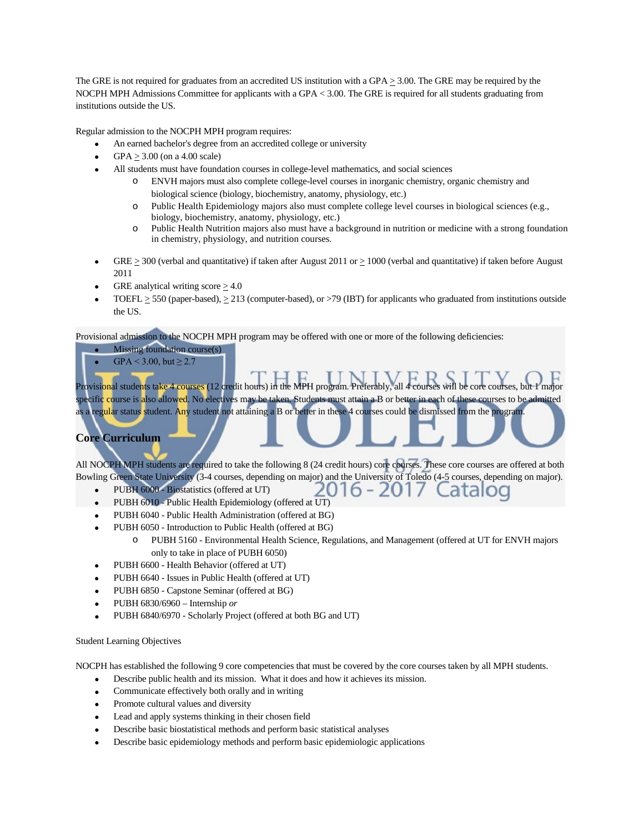The GRE is not required for graduates from an accredited US institution with a GPA  $\geq$  3.00. The GRE may be required by the NOCPH MPH Admissions Committee for applicants with a GPA < 3.00. The GRE is required for all students graduating from institutions outside the US.

Regular admission to the NOCPH MPH program requires:

- An earned bachelor's degree from an accredited college or university
- GPA  $\geq$  3.00 (on a 4.00 scale)
- All students must have foundation courses in college-level mathematics, and social sciences
	- o ENVH majors must also complete college-level courses in inorganic chemistry, organic chemistry and biological science (biology, biochemistry, anatomy, physiology, etc.)
	- o Public Health Epidemiology majors also must complete college level courses in biological sciences (e.g., biology, biochemistry, anatomy, physiology, etc.)
	- o Public Health Nutrition majors also must have a background in nutrition or medicine with a strong foundation in chemistry, physiology, and nutrition courses.
- GRE  $\geq$  300 (verbal and quantitative) if taken after August 2011 or  $\geq$  1000 (verbal and quantitative) if taken before August 2011
- GRE analytical writing score  $> 4.0$
- TOEFL  $\geq$  550 (paper-based),  $\geq$  213 (computer-based), or >79 (IBT) for applicants who graduated from institutions outside the US.

Provisional admission to the NOCPH MPH program may be offered with one or more of the following deficiencies:

- Missing foundation course(s)
- $GPA < 3.00$ , but  $\ge 2.7$

Provisional students take 4 courses (12 credit hours) in the MPH program. Preferably, all 4 courses will be core courses, but 1 major specifi<mark>c c</mark>ourse is <mark>a</mark>lso allow<mark>ed</mark>. No electives may be taken. Students must attain a B or better in each of these courses to be admitted as a regular status student. Any student not attaining a B or better in these 4 courses could be dismissed from the program.

## **Core Curriculum**

All NOCPH MPH students are required to take the following 8 (24 credit hours) core courses. These core courses are offered at both Bowling Green State University (3-4 courses, depending on major) and the University of Toledo (4-5 courses, depending on major).

- PUBH 6000 Biostatistics (offered at UT)
- PUBH 6010 Public Health Epidemiology (offered at UT)
- PUBH 6040 Public Health Administration (offered at BG)
- PUBH 6050 Introduction to Public Health (offered at BG)
	- o PUBH 5160 Environmental Health Science, Regulations, and Management (offered at UT for ENVH majors only to take in place of PUBH 6050)
- PUBH 6600 Health Behavior (offered at UT)
- PUBH 6640 Issues in Public Health (offered at UT)
- PUBH 6850 Capstone Seminar (offered at BG)
- PUBH 6830/6960 Internship *or*
- PUBH 6840/6970 Scholarly Project (offered at both BG and UT)

#### Student Learning Objectives

NOCPH has established the following 9 core competencies that must be covered by the core courses taken by all MPH students.

- Describe public health and its mission. What it does and how it achieves its mission.
- Communicate effectively both orally and in writing
- Promote cultural values and diversity
- Lead and apply systems thinking in their chosen field
- Describe basic biostatistical methods and perform basic statistical analyses
- Describe basic epidemiology methods and perform basic epidemiologic applications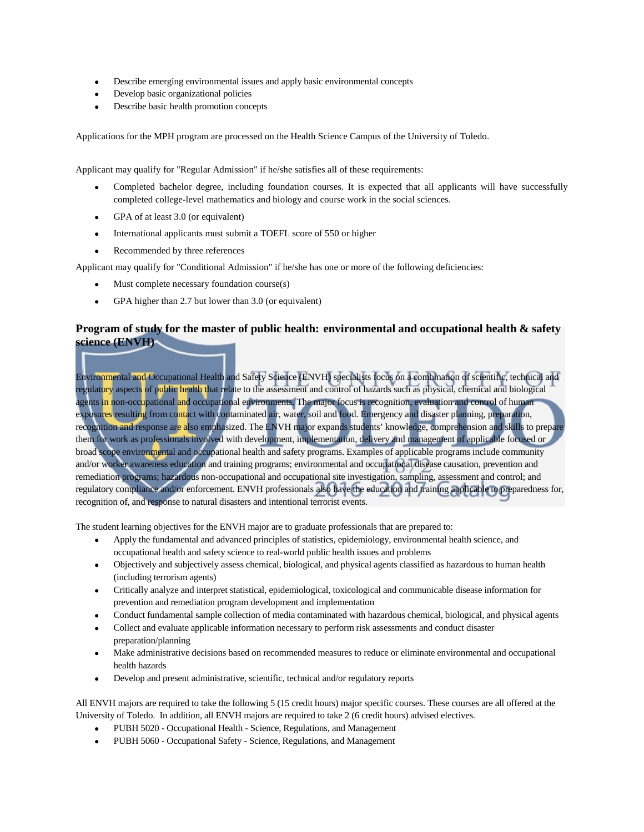- Describe emerging environmental issues and apply basic environmental concepts
- Develop basic organizational policies
- Describe basic health promotion concepts

Applications for the MPH program are processed on the Health Science Campus of the University of Toledo.

Applicant may qualify for "Regular Admission" if he/she satisfies all of these requirements:

- Completed bachelor degree, including foundation courses. It is expected that all applicants will have successfully completed college-level mathematics and biology and course work in the social sciences.
- GPA of at least 3.0 (or equivalent)
- International applicants must submit a TOEFL score of 550 or higher
- Recommended by three references

Applicant may qualify for "Conditional Admission" if he/she has one or more of the following deficiencies:

- Must complete necessary foundation course(s)
- GPA higher than 2.7 but lower than 3.0 (or equivalent)

## **Program of study for the master of public health: environmental and occupational health & safety science (ENVH)**

Environmental and Occupational Health and Safety Science (ENVH) specialists focus on a combination of scientific, technical and regulato<mark>ry</mark> aspects of public health that relate to the assessment and control of hazards such as physical, chemical and biological agents in non-occupational and occupational environments. The major focus is recognition, evaluation and control of human exposures resulting from contact with contaminated air, water, soil and food. Emergency and disaster planning, preparation, recognition and response are also emphasized. The ENVH major expands students' knowledge, comprehension and skills to prepare them for work as professionals involved with development, implementation, delivery and management of applicable focused or broad scope environmental and occupational health and safety programs. Examples of applicable programs include community and/or worker awareness education and training programs; environmental and occupational disease causation, prevention and remediation programs; hazardous non-occupational and occupational site investigation, sampling, assessment and control; and regulatory compliance and/or enforcement. ENVH professionals also have the education and training applicable to preparedness for, recognition of, and response to natural disasters and intentional terrorist events.

The student learning objectives for the ENVH major are to graduate professionals that are prepared to:

- Apply the fundamental and advanced principles of statistics, epidemiology, environmental health science, and occupational health and safety science to real-world public health issues and problems
- Objectively and subjectively assess chemical, biological, and physical agents classified as hazardous to human health (including terrorism agents)
- Critically analyze and interpret statistical, epidemiological, toxicological and communicable disease information for prevention and remediation program development and implementation
- Conduct fundamental sample collection of media contaminated with hazardous chemical, biological, and physical agents
- Collect and evaluate applicable information necessary to perform risk assessments and conduct disaster preparation/planning
- Make administrative decisions based on recommended measures to reduce or eliminate environmental and occupational health hazards
- Develop and present administrative, scientific, technical and/or regulatory reports

All ENVH majors are required to take the following 5 (15 credit hours) major specific courses. These courses are all offered at the University of Toledo. In addition, all ENVH majors are required to take 2 (6 credit hours) advised electives.

- PUBH 5020 Occupational Health Science, Regulations, and Management
- PUBH 5060 Occupational Safety Science, Regulations, and Management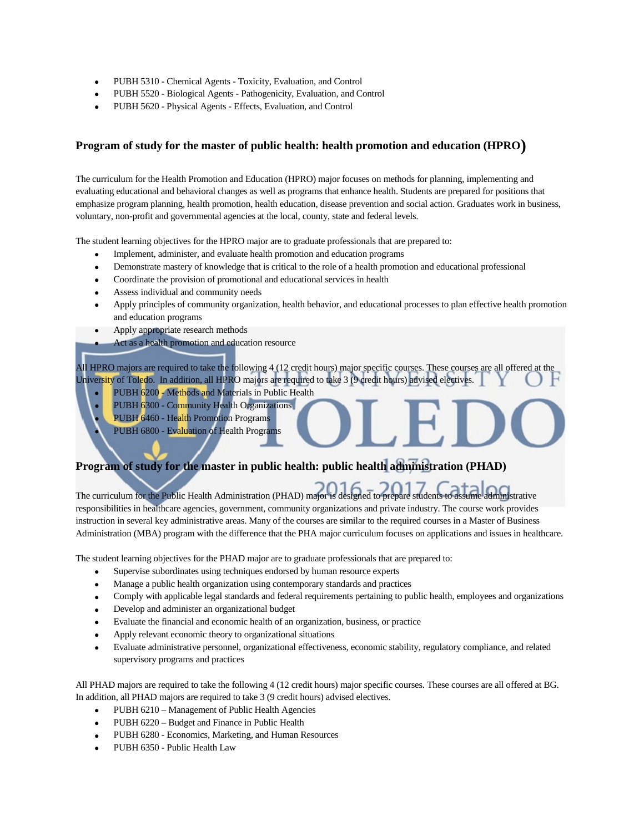- PUBH 5310 Chemical Agents Toxicity, Evaluation, and Control
- PUBH 5520 Biological Agents Pathogenicity, Evaluation, and Control
- PUBH 5620 Physical Agents Effects, Evaluation, and Control

## **Program of study for the master of public health: health promotion and education (HPRO)**

The curriculum for the Health Promotion and Education (HPRO) major focuses on methods for planning, implementing and evaluating educational and behavioral changes as well as programs that enhance health. Students are prepared for positions that emphasize program planning, health promotion, health education, disease prevention and social action. Graduates work in business, voluntary, non-profit and governmental agencies at the local, county, state and federal levels.

The student learning objectives for the HPRO major are to graduate professionals that are prepared to:

- Implement, administer, and evaluate health promotion and education programs
- Demonstrate mastery of knowledge that is critical to the role of a health promotion and educational professional
- Coordinate the provision of promotional and educational services in health
- Assess individual and community needs
- Apply principles of community organization, health behavior, and educational processes to plan effective health promotion and education programs
- Apply appropriate research methods
- Act as a health promotion and education resource

All HPRO majors are required to take the following 4 (12 credit hours) major specific courses. These courses are all offered at the University of Toledo. In addition, all HPRO majors are required to take 3 (9 credit hours) advised electives.

- PUBH 6200 Methods and Materials in Public Health
- PUBH 6300 Community Health Organizations
- PUBH 6460 Health Promotion Programs
- PUBH 6800 Evaluation of Health Programs

## **Program of study for the master in public health: public health administration (PHAD)**

The curriculum for the Public Health Administration (PHAD) major is designed to prepare students to assume administrative responsibilities in healthcare agencies, government, community organizations and private industry. The course work provides instruction in several key administrative areas. Many of the courses are similar to the required courses in a Master of Business Administration (MBA) program with the difference that the PHA major curriculum focuses on applications and issues in healthcare.

The student learning objectives for the PHAD major are to graduate professionals that are prepared to:

- Supervise subordinates using techniques endorsed by human resource experts
- Manage a public health organization using contemporary standards and practices
- Comply with applicable legal standards and federal requirements pertaining to public health, employees and organizations
- Develop and administer an organizational budget
- Evaluate the financial and economic health of an organization, business, or practice
- Apply relevant economic theory to organizational situations
- Evaluate administrative personnel, organizational effectiveness, economic stability, regulatory compliance, and related supervisory programs and practices

All PHAD majors are required to take the following 4 (12 credit hours) major specific courses. These courses are all offered at BG. In addition, all PHAD majors are required to take 3 (9 credit hours) advised electives.

- PUBH 6210 Management of Public Health Agencies
- PUBH 6220 Budget and Finance in Public Health
- PUBH 6280 Economics, Marketing, and Human Resources
- PUBH 6350 Public Health Law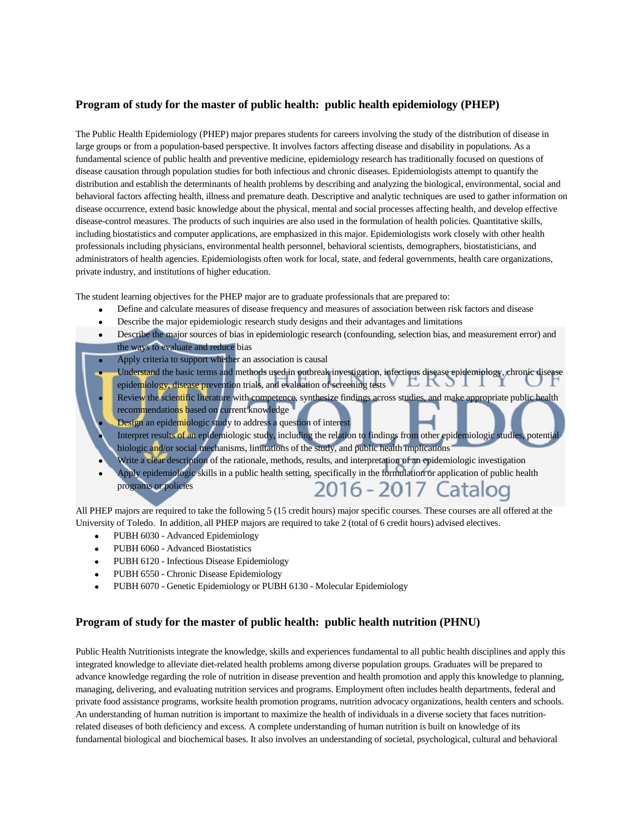## **Program of study for the master of public health: public health epidemiology (PHEP)**

The Public Health Epidemiology (PHEP) major prepares students for careers involving the study of the distribution of disease in large groups or from a population-based perspective. It involves factors affecting disease and disability in populations. As a fundamental science of public health and preventive medicine, epidemiology research has traditionally focused on questions of disease causation through population studies for both infectious and chronic diseases. Epidemiologists attempt to quantify the distribution and establish the determinants of health problems by describing and analyzing the biological, environmental, social and behavioral factors affecting health, illness and premature death. Descriptive and analytic techniques are used to gather information on disease occurrence, extend basic knowledge about the physical, mental and social processes affecting health, and develop effective disease-control measures. The products of such inquiries are also used in the formulation of health policies. Quantitative skills, including biostatistics and computer applications, are emphasized in this major. Epidemiologists work closely with other health professionals including physicians, environmental health personnel, behavioral scientists, demographers, biostatisticians, and administrators of health agencies. Epidemiologists often work for local, state, and federal governments, health care organizations, private industry, and institutions of higher education.

The student learning objectives for the PHEP major are to graduate professionals that are prepared to:

- Define and calculate measures of disease frequency and measures of association between risk factors and disease
- Describe the major epidemiologic research study designs and their advantages and limitations
- Describe the major sources of bias in epidemiologic research (confounding, selection bias, and measurement error) and the ways to evaluate and reduce bias
- Apply criteria to support whether an association is causal
- Understand the basic terms and methods used in outbreak investigation, infectious disease epidemiology, chronic disease<br>epidemiology disease prevention trials, and evaluation of screening tests
- epidemiology, disease prevention trials, and evaluation of screening tests • Review the scientific literature with competence, synthesize findings across studies, and make appropriate public health recommendations based on current knowledge
- **Design** an epidemiologic study to address a question of interest
- Interpret results of an epidemiologic study, including the relation to findings from other epidemiologic studies, potential biologic and/or social mechanisms, limitations of the study, and public health implications
- Write a clear description of the rationale, methods, results, and interpretation of an epidemiologic investigation
- Apply epidemiologic skills in a public health setting, specifically in the formulation or application of public health programs or policies 2016 - 2017 Catalog

All PHEP majors are required to take the following 5 (15 credit hours) major specific courses. These courses are all offered at the University of Toledo. In addition, all PHEP majors are required to take 2 (total of 6 credit hours) advised electives.

- PUBH 6030 Advanced Epidemiology
- PUBH 6060 Advanced Biostatistics
- PUBH 6120 Infectious Disease Epidemiology
- PUBH 6550 Chronic Disease Epidemiology
- PUBH 6070 Genetic Epidemiology or PUBH 6130 Molecular Epidemiology

## **Program of study for the master of public health: public health nutrition (PHNU)**

Public Health Nutritionists integrate the knowledge, skills and experiences fundamental to all public health disciplines and apply this integrated knowledge to alleviate diet-related health problems among diverse population groups. Graduates will be prepared to advance knowledge regarding the role of nutrition in disease prevention and health promotion and apply this knowledge to planning, managing, delivering, and evaluating nutrition services and programs. Employment often includes health departments, federal and private food assistance programs, worksite health promotion programs, nutrition advocacy organizations, health centers and schools. An understanding of human nutrition is important to maximize the health of individuals in a diverse society that faces nutritionrelated diseases of both deficiency and excess. A complete understanding of human nutrition is built on knowledge of its fundamental biological and biochemical bases. It also involves an understanding of societal, psychological, cultural and behavioral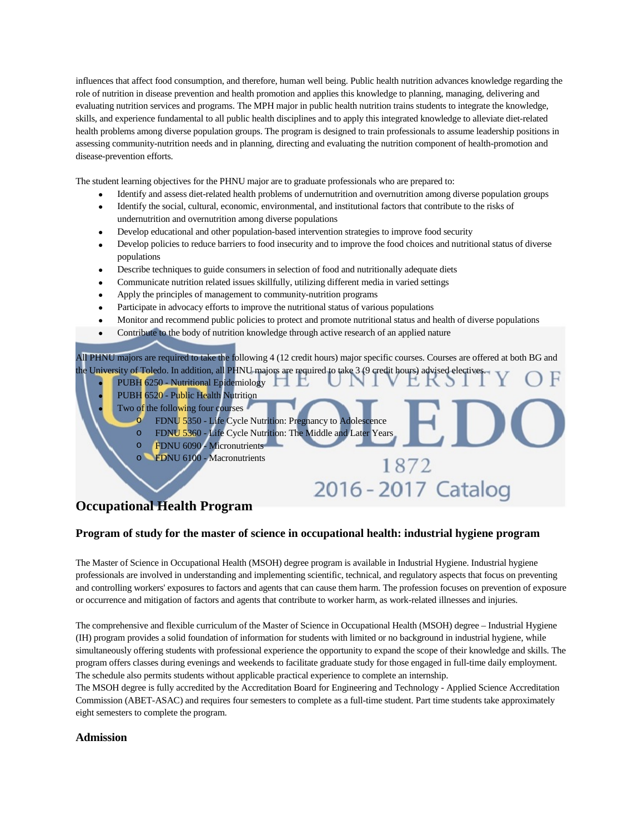influences that affect food consumption, and therefore, human well being. Public health nutrition advances knowledge regarding the role of nutrition in disease prevention and health promotion and applies this knowledge to planning, managing, delivering and evaluating nutrition services and programs. The MPH major in public health nutrition trains students to integrate the knowledge, skills, and experience fundamental to all public health disciplines and to apply this integrated knowledge to alleviate diet-related health problems among diverse population groups. The program is designed to train professionals to assume leadership positions in assessing community-nutrition needs and in planning, directing and evaluating the nutrition component of health-promotion and disease-prevention efforts.

The student learning objectives for the PHNU major are to graduate professionals who are prepared to:

- Identify and assess diet-related health problems of undernutrition and overnutrition among diverse population groups
- Identify the social, cultural, economic, environmental, and institutional factors that contribute to the risks of undernutrition and overnutrition among diverse populations
- Develop educational and other population-based intervention strategies to improve food security
- Develop policies to reduce barriers to food insecurity and to improve the food choices and nutritional status of diverse populations
- Describe techniques to guide consumers in selection of food and nutritionally adequate diets
- Communicate nutrition related issues skillfully, utilizing different media in varied settings
- Apply the principles of management to community-nutrition programs
- Participate in advocacy efforts to improve the nutritional status of various populations
- Monitor and recommend public policies to protect and promote nutritional status and health of diverse populations
- Contribute to the body of nutrition knowledge through active research of an applied nature

All PHNU majors are required to take the following 4 (12 credit hours) major specific courses. Courses are offered at both BG and the University of Toledo. In addition, all PHNU majors are required to take 3 (9 credit hours) advised electives

1872

2016 - 2017 Catalog

- PUBH 6250 Nutritional Epidemiology
- PUBH 6520 Public Health Nutrition
- Two of the following four courses
	- FDNU 5350 Life Cycle Nutrition: Pregnancy to Adolescence
	- o FDNU 5360 Life Cycle Nutrition: The Middle and Later Years
	- FDNU 6090 Micronutrients
		- FDNU 6100 Macronutrients

## **Occupational Health Program**

## **Program of study for the master of science in occupational health: industrial hygiene program**

The Master of Science in Occupational Health (MSOH) degree program is available in Industrial Hygiene. Industrial hygiene professionals are involved in understanding and implementing scientific, technical, and regulatory aspects that focus on preventing and controlling workers' exposures to factors and agents that can cause them harm. The profession focuses on prevention of exposure or occurrence and mitigation of factors and agents that contribute to worker harm, as work-related illnesses and injuries.

The comprehensive and flexible curriculum of the Master of Science in Occupational Health (MSOH) degree – Industrial Hygiene (IH) program provides a solid foundation of information for students with limited or no background in industrial hygiene, while simultaneously offering students with professional experience the opportunity to expand the scope of their knowledge and skills. The program offers classes during evenings and weekends to facilitate graduate study for those engaged in full-time daily employment. The schedule also permits students without applicable practical experience to complete an internship.

The MSOH degree is fully accredited by the Accreditation Board for Engineering and Technology - Applied Science Accreditation Commission (ABET-ASAC) and requires four semesters to complete as a full-time student. Part time students take approximately eight semesters to complete the program.

## **Admission**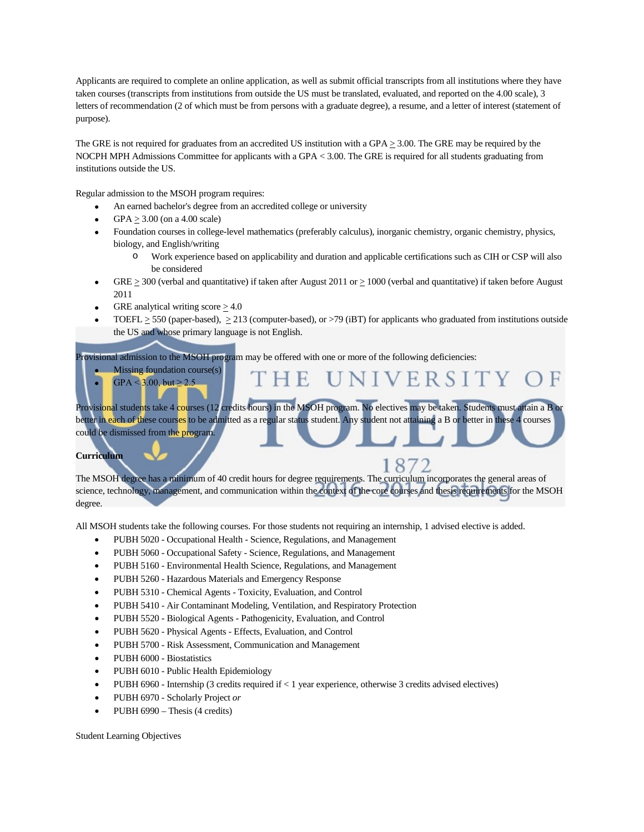Applicants are required to complete an online application, as well as submit official transcripts from all institutions where they have taken courses (transcripts from institutions from outside the US must be translated, evaluated, and reported on the 4.00 scale), 3 letters of recommendation (2 of which must be from persons with a graduate degree), a resume, and a letter of interest (statement of purpose).

The GRE is not required for graduates from an accredited US institution with a GPA  $\geq$  3.00. The GRE may be required by the NOCPH MPH Admissions Committee for applicants with a GPA < 3.00. The GRE is required for all students graduating from institutions outside the US.

Regular admission to the MSOH program requires:

- An earned bachelor's degree from an accredited college or university
- $GPA > 3.00$  (on a 4.00 scale)
- Foundation courses in college-level mathematics (preferably calculus), inorganic chemistry, organic chemistry, physics, biology, and English/writing
	- o Work experience based on applicability and duration and applicable certifications such as CIH or CSP will also be considered

UNIVERSITY

- GRE  $\geq$  300 (verbal and quantitative) if taken after August 2011 or  $\geq$  1000 (verbal and quantitative) if taken before August 2011
- GRE analytical writing score  $\geq 4.0$
- TOEFL  $>$  550 (paper-based),  $>$  213 (computer-based), or  $>$  79 (iBT) for applicants who graduated from institutions outside the US and whose primary language is not English.

rovisional admission to the MSOH program may be offered with one or more of the following deficiencies:

- Missing foundation course $(s)$
- $GPA < 3.00$ , but  $\ge 2.5$

Provisional students take 4 courses (12 credits hours) in the MSOH program. No electives may be taken. Students must attain a B or better in each of these courses to be admitted as a regular status student. Any student not attaining a B or better in these 4 courses could be dismissed from the program.

E.

#### **Curriculum**

8 The MSOH degree has a minimum of 40 credit hours for degree requirements. The curriculum incorporates the general areas of science, technology, management, and communication within the context of the core courses and thesis requirements for the MSOH degree.

All MSOH students take the following courses. For those students not requiring an internship, 1 advised elective is added.

- PUBH 5020 Occupational Health Science, Regulations, and Management
- PUBH 5060 Occupational Safety Science, Regulations, and Management
- PUBH 5160 Environmental Health Science, Regulations, and Management
- PUBH 5260 Hazardous Materials and Emergency Response
- PUBH 5310 Chemical Agents Toxicity, Evaluation, and Control
- PUBH 5410 Air Contaminant Modeling, Ventilation, and Respiratory Protection
- PUBH 5520 Biological Agents Pathogenicity, Evaluation, and Control
- PUBH 5620 Physical Agents Effects, Evaluation, and Control
- PUBH 5700 Risk Assessment, Communication and Management
- PUBH 6000 Biostatistics
- PUBH 6010 Public Health Epidemiology
- PUBH 6960 Internship (3 credits required if  $\lt 1$  year experience, otherwise 3 credits advised electives)
- PUBH 6970 Scholarly Project *or*
- PUBH 6990 Thesis (4 credits)

Student Learning Objectives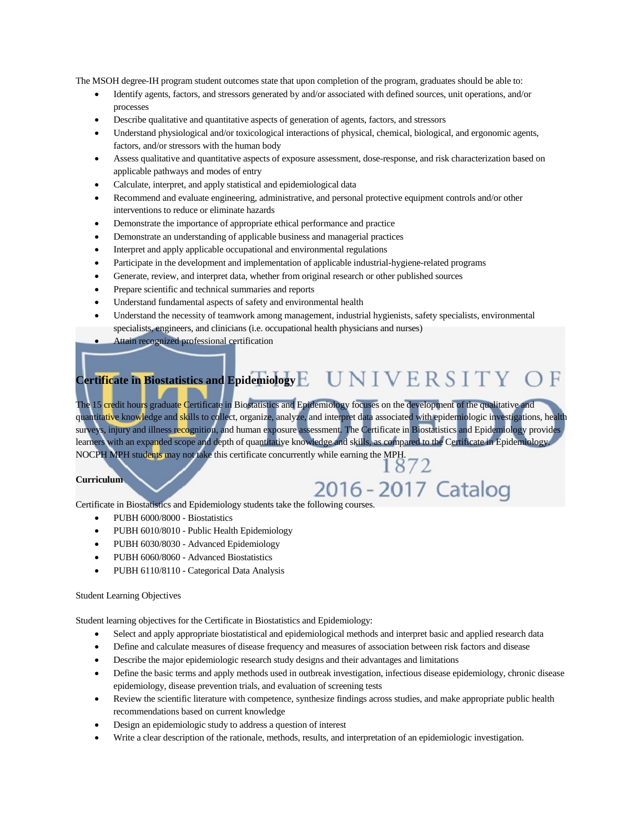The MSOH degree-IH program student outcomes state that upon completion of the program, graduates should be able to:

- Identify agents, factors, and stressors generated by and/or associated with defined sources, unit operations, and/or processes
- Describe qualitative and quantitative aspects of generation of agents, factors, and stressors
- Understand physiological and/or toxicological interactions of physical, chemical, biological, and ergonomic agents, factors, and/or stressors with the human body
- Assess qualitative and quantitative aspects of exposure assessment, dose-response, and risk characterization based on applicable pathways and modes of entry
- Calculate, interpret, and apply statistical and epidemiological data
- Recommend and evaluate engineering, administrative, and personal protective equipment controls and/or other interventions to reduce or eliminate hazards
- Demonstrate the importance of appropriate ethical performance and practice
- Demonstrate an understanding of applicable business and managerial practices
- Interpret and apply applicable occupational and environmental regulations
- Participate in the development and implementation of applicable industrial-hygiene-related programs
- Generate, review, and interpret data, whether from original research or other published sources
- Prepare scientific and technical summaries and reports
- Understand fundamental aspects of safety and environmental health
- Understand the necessity of teamwork among management, industrial hygienists, safety specialists, environmental specialists, engineers, and clinicians (i.e. occupational health physicians and nurses)
- Attain recognized professional certification

# **Certificate in Biostatistics and Epidemiology**

The 15 credit hours graduate Certificate in Biostatistics and Epidemiology focuses on the development of the qualitative and quantitative knowledge and skills to collect, organize, analyze, and interpret data associated with epidemiologic investigations, health surveys, injury and illness recognition, and human exposure assessment. The Certificate in Biostatistics and Epidemiology provides learners with an expanded scope and depth of quantitative knowledge and skills, as compared to the Certificate in Epidemiology. NOCPH MPH students may not take this certificate concurrently while earning the MPH.  $\frac{1872}{1872}$ 

#### **Curriculum**

# Curriculum<br>Certificate in Biostatistics and Epidemiology students take the following courses.

- PUBH 6000/8000 Biostatistics
- PUBH 6010/8010 Public Health Epidemiology
- PUBH 6030/8030 Advanced Epidemiology
- PUBH 6060/8060 Advanced Biostatistics
- PUBH 6110/8110 Categorical Data Analysis

#### Student Learning Objectives

Student learning objectives for the Certificate in Biostatistics and Epidemiology:

- Select and apply appropriate biostatistical and epidemiological methods and interpret basic and applied research data
- Define and calculate measures of disease frequency and measures of association between risk factors and disease
- Describe the major epidemiologic research study designs and their advantages and limitations
- Define the basic terms and apply methods used in outbreak investigation, infectious disease epidemiology, chronic disease epidemiology, disease prevention trials, and evaluation of screening tests
- Review the scientific literature with competence, synthesize findings across studies, and make appropriate public health recommendations based on current knowledge
- Design an epidemiologic study to address a question of interest
- Write a clear description of the rationale, methods, results, and interpretation of an epidemiologic investigation.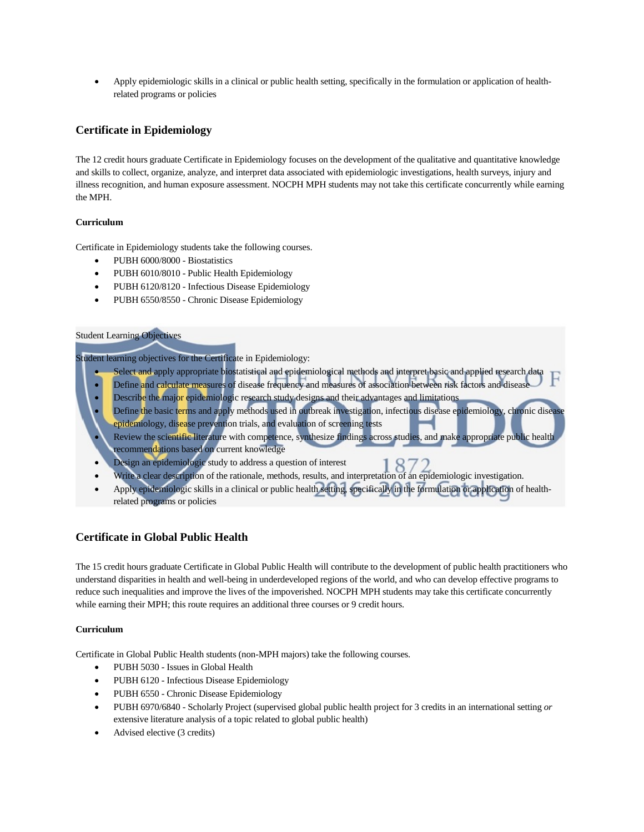• Apply epidemiologic skills in a clinical or public health setting, specifically in the formulation or application of healthrelated programs or policies

## **Certificate in Epidemiology**

The 12 credit hours graduate Certificate in Epidemiology focuses on the development of the qualitative and quantitative knowledge and skills to collect, organize, analyze, and interpret data associated with epidemiologic investigations, health surveys, injury and illness recognition, and human exposure assessment. NOCPH MPH students may not take this certificate concurrently while earning the MPH.

### **Curriculum**

Certificate in Epidemiology students take the following courses.

- PUBH 6000/8000 Biostatistics
- PUBH 6010/8010 Public Health Epidemiology
- PUBH 6120/8120 Infectious Disease Epidemiology
- PUBH 6550/8550 Chronic Disease Epidemiology

#### Student Learning Objectives

Student learning objectives for the Certificate in Epidemiology:

- Select and apply appropriate biostatistical and epidemiological methods and interpret basic and applied research data
- Define and calculate measures of disease frequency and measures of association between risk factors and disease
- Describe the major epidemiologic research study designs and their advantages and limitations
- Define the basic terms and apply methods used in outbreak investigation, infectious disease epidemiology, chronic disease epidemiology, disease prevention trials, and evaluation of screening tests Review the scientific literature with competence, synthesize findings across studies, and make appropriate public health
- recommendations based on current knowledge
- Design an epidemiologic study to address a question of interest
- Design an epidemiologic study to address a question of interest<br>Write a clear description of the rationale, methods, results, and interpretation of an epidemiologic investigation.
- Apply epidemiologic skills in a clinical or public health setting, specifically in the formulation or application of healthrelated programs or policies

## **Certificate in Global Public Health**

The 15 credit hours graduate Certificate in Global Public Health will contribute to the development of public health practitioners who understand disparities in health and well-being in underdeveloped regions of the world, and who can develop effective programs to reduce such inequalities and improve the lives of the impoverished. NOCPH MPH students may take this certificate concurrently while earning their MPH; this route requires an additional three courses or 9 credit hours.

#### **Curriculum**

Certificate in Global Public Health students (non-MPH majors) take the following courses.

- PUBH 5030 Issues in Global Health
- PUBH 6120 Infectious Disease Epidemiology
- PUBH 6550 Chronic Disease Epidemiology
- PUBH 6970/6840 Scholarly Project (supervised global public health project for 3 credits in an international setting *or* extensive literature analysis of a topic related to global public health)
- Advised elective (3 credits)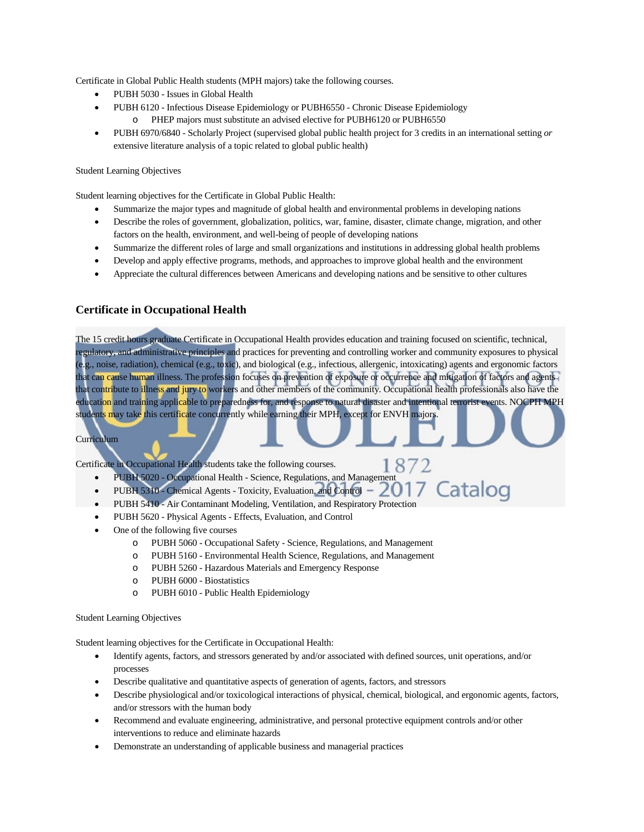Certificate in Global Public Health students (MPH majors) take the following courses.

- PUBH 5030 Issues in Global Health
- PUBH 6120 Infectious Disease Epidemiology or PUBH6550 Chronic Disease Epidemiology o PHEP majors must substitute an advised elective for PUBH6120 or PUBH6550
- PUBH 6970/6840 Scholarly Project (supervised global public health project for 3 credits in an international setting *or* extensive literature analysis of a topic related to global public health)

#### Student Learning Objectives

Student learning objectives for the Certificate in Global Public Health:

- Summarize the major types and magnitude of global health and environmental problems in developing nations
- Describe the roles of government, globalization, politics, war, famine, disaster, climate change, migration, and other factors on the health, environment, and well-being of people of developing nations
- Summarize the different roles of large and small organizations and institutions in addressing global health problems
- Develop and apply effective programs, methods, and approaches to improve global health and the environment
- Appreciate the cultural differences between Americans and developing nations and be sensitive to other cultures

## **Certificate in Occupational Health**

The 15 credit hours graduate Certificate in Occupational Health provides education and training focused on scientific, technical, regulatory, and administrative principles and practices for preventing and controlling worker and community exposures to physical (e.g., noise, radiation), chemical (e.g., toxic), and biological (e.g., infectious, allergenic, intoxicating) agents and ergonomic factors that can cause human illness. The profession focuses on prevention of exposure or occurrence and mitigation of factors and agents that contribute to illness and jury to workers and other members of the community. Occupational health professionals also have the education and training applicable to preparedness for, and response to natural disaster and intentional terrorist events. NOCPH MPH students may take this certificate concurrently while earning their MPH, except for ENVH majors.

1872

#### Curriculum

Certificate in Occupational Health students take the following courses.

- PUBH 5020 Occupational Health Science, Regulations, and Management
- Catalog PUBH 5310 - Chemical Agents - Toxicity, Evaluation, and Control -
- PUBH 5410 Air Contaminant Modeling, Ventilation, and Respiratory Protection
- PUBH 5620 Physical Agents Effects, Evaluation, and Control
- One of the following five courses
	- o PUBH 5060 Occupational Safety Science, Regulations, and Management
	- o PUBH 5160 Environmental Health Science, Regulations, and Management
	- o PUBH 5260 Hazardous Materials and Emergency Response
	- o PUBH 6000 Biostatistics
	- o PUBH 6010 Public Health Epidemiology

#### Student Learning Objectives

Student learning objectives for the Certificate in Occupational Health:

- Identify agents, factors, and stressors generated by and/or associated with defined sources, unit operations, and/or processes
- Describe qualitative and quantitative aspects of generation of agents, factors, and stressors
- Describe physiological and/or toxicological interactions of physical, chemical, biological, and ergonomic agents, factors, and/or stressors with the human body
- Recommend and evaluate engineering, administrative, and personal protective equipment controls and/or other interventions to reduce and eliminate hazards
- Demonstrate an understanding of applicable business and managerial practices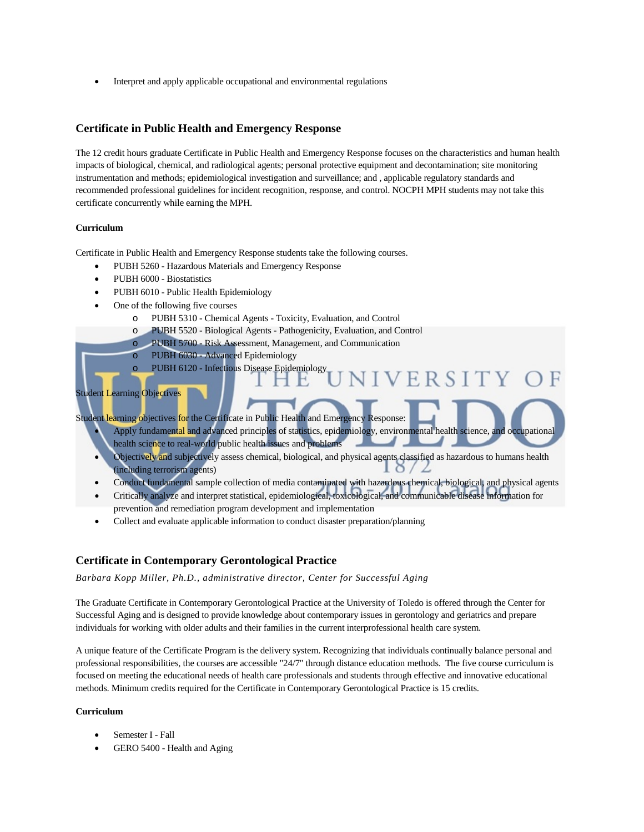• Interpret and apply applicable occupational and environmental regulations

### **Certificate in Public Health and Emergency Response**

The 12 credit hours graduate Certificate in Public Health and Emergency Response focuses on the characteristics and human health impacts of biological, chemical, and radiological agents; personal protective equipment and decontamination; site monitoring instrumentation and methods; epidemiological investigation and surveillance; and , applicable regulatory standards and recommended professional guidelines for incident recognition, response, and control. NOCPH MPH students may not take this certificate concurrently while earning the MPH.

#### **Curriculum**

Certificate in Public Health and Emergency Response students take the following courses.

- PUBH 5260 Hazardous Materials and Emergency Response
- PUBH 6000 Biostatistics
- PUBH 6010 Public Health Epidemiology
- One of the following five courses
	- o PUBH 5310 Chemical Agents Toxicity, Evaluation, and Control
	- o PUBH 5520 Biological Agents Pathogenicity, Evaluation, and Control
	- o PUBH 5700 Risk Assessment, Management, and Communication
	- o PUBH 6030 Advanced Epidemiology
	- o PUBH 6120 Infectious Disease Epidemiology

#### Student Learning Objectives

Student learning objectives for the Certificate in Public Health and Emergency Response: Apply fundamental and advanced principles of statistics, epidemiology, environmental health science, and occupational

**IVERSITY** 

- health science to real-world public health issues and problems
- Objectively and subjectively assess chemical, biological, and physical agents classified as hazardous to humans health (including terrorism agents)  $\circ$
- Conduct fundamental sample collection of media contaminated with hazardous chemical, biological, and physical agents
- Critically analyze and interpret statistical, epidemiological, toxicological, and communicable disease information for prevention and remediation program development and implementation
- Collect and evaluate applicable information to conduct disaster preparation/planning

## **Certificate in Contemporary Gerontological Practice**

*Barbara Kopp Miller, Ph.D., administrative director, Center for Successful Aging*

The Graduate Certificate in Contemporary Gerontological Practice at the University of Toledo is offered through the Center for Successful Aging and is designed to provide knowledge about contemporary issues in gerontology and geriatrics and prepare individuals for working with older adults and their families in the current interprofessional health care system.

A unique feature of the Certificate Program is the delivery system. Recognizing that individuals continually balance personal and professional responsibilities, the courses are accessible "24/7" through distance education methods. The five course curriculum is focused on meeting the educational needs of health care professionals and students through effective and innovative educational methods. Minimum credits required for the Certificate in Contemporary Gerontological Practice is 15 credits.

#### **Curriculum**

- Semester I Fall
- GERO 5400 Health and Aging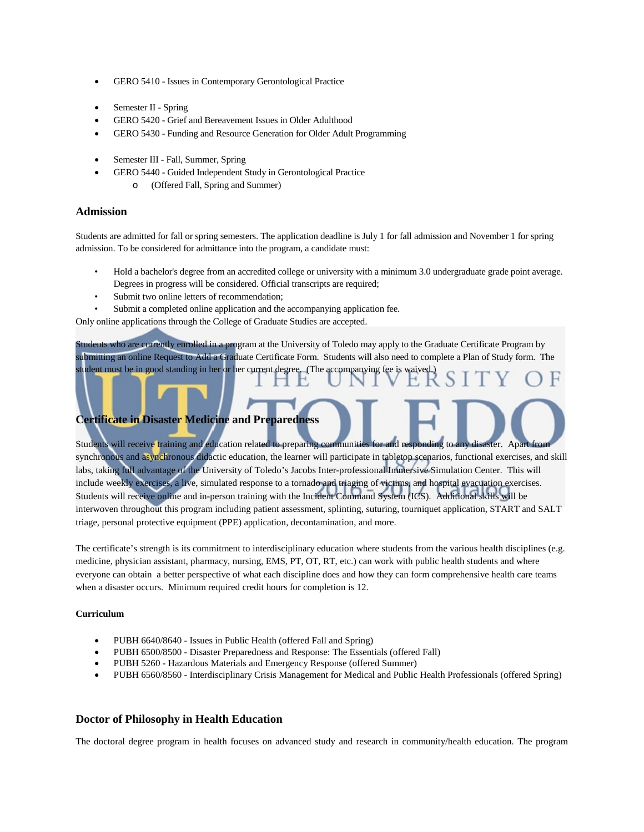- GERO 5410 Issues in Contemporary Gerontological Practice
- Semester II Spring
- GERO 5420 Grief and Bereavement Issues in Older Adulthood
- GERO 5430 Funding and Resource Generation for Older Adult Programming
- Semester III Fall, Summer, Spring
- GERO 5440 Guided Independent Study in Gerontological Practice o (Offered Fall, Spring and Summer)

#### **Admission**

Students are admitted for fall or spring semesters. The application deadline is July 1 for fall admission and November 1 for spring admission. To be considered for admittance into the program, a candidate must:

- Hold a bachelor's degree from an accredited college or university with a minimum 3.0 undergraduate grade point average. Degrees in progress will be considered. Official transcripts are required;
- Submit two online letters of recommendation;
- Submit a completed online application and the accompanying application fee.

Only online applications through the College of Graduate Studies are accepted.

Students who are currently enrolled in a program at the University of Toledo may apply to the Graduate Certificate Program by submitting an online Request to Add a Graduate Certificate Form. Students will also need to complete a Plan of Study form. The student must be in good standing in her or her current degree. (The accompanying fee is waived.)

## **Certificate in Disaster Medicine and Preparedness**

Students will receive training and education related to preparing communities for and responding to any disaster. Apart from synchronous and asynchronous didactic education, the learner will participate in tabletop scenarios, functional exercises, and skill labs, taking full advantage of the University of Toledo's Jacobs Inter-professional Immersive Simulation Center. This will include weekly exercises, a live, simulated response to a tornado and triaging of victims, and hospital evacuation exercises. Students will receive online and in-person training with the Incident Command System (ICS). Additional skills will be interwoven throughout this program including patient assessment, splinting, suturing, tourniquet application, START and SALT triage, personal protective equipment (PPE) application, decontamination, and more.

The certificate's strength is its commitment to interdisciplinary education where students from the various health disciplines (e.g. medicine, physician assistant, pharmacy, nursing, EMS, PT, OT, RT, etc.) can work with public health students and where everyone can obtain a better perspective of what each discipline does and how they can form comprehensive health care teams when a disaster occurs. Minimum required credit hours for completion is 12.

#### **Curriculum**

- PUBH 6640/8640 Issues in Public Health (offered Fall and Spring)
- PUBH 6500/8500 Disaster Preparedness and Response: The Essentials (offered Fall)
- PUBH 5260 Hazardous Materials and Emergency Response (offered Summer)
- PUBH 6560/8560 Interdisciplinary Crisis Management for Medical and Public Health Professionals (offered Spring)

## **Doctor of Philosophy in Health Education**

The doctoral degree program in health focuses on advanced study and research in community/health education. The program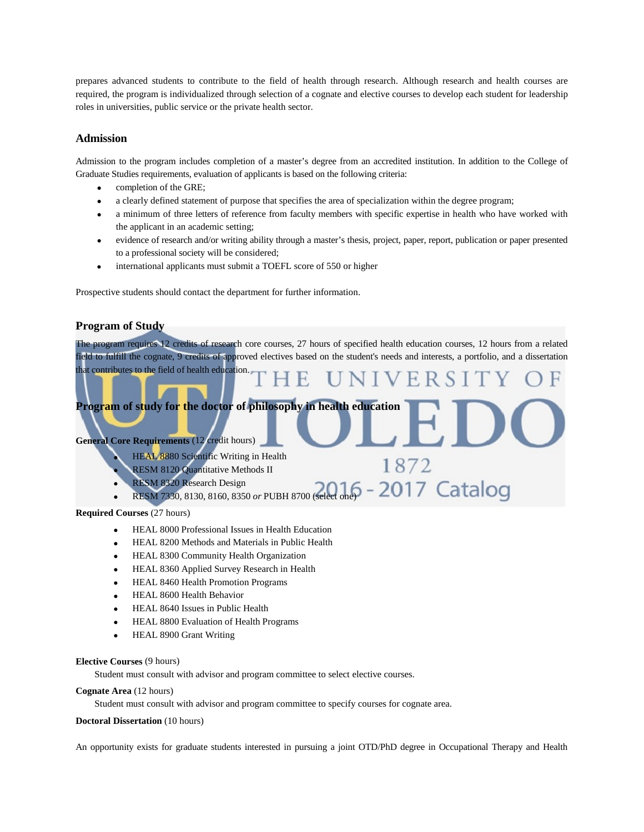prepares advanced students to contribute to the field of health through research. Although research and health courses are required, the program is individualized through selection of a cognate and elective courses to develop each student for leadership roles in universities, public service or the private health sector.

## **Admission**

Admission to the program includes completion of a master's degree from an accredited institution. In addition to the College of Graduate Studies requirements, evaluation of applicants is based on the following criteria:

- completion of the GRE;
- a clearly defined statement of purpose that specifies the area of specialization within the degree program;
- a minimum of three letters of reference from faculty members with specific expertise in health who have worked with the applicant in an academic setting;
- evidence of research and/or writing ability through a master's thesis, project, paper, report, publication or paper presented to a professional society will be considered;
- international applicants must submit a TOEFL score of 550 or higher

Prospective students should contact the department for further information.

## **Program of Study**

The program requires 12 credits of research core courses, 27 hours of specified health education courses, 12 hours from a related field to fulfill the cognate, 9 credits of approved electives based on the student's needs and interests, a portfolio, and a dissertation that contributes to the field of health education.

## **Program of study for the doctor of philosophy in health education**

## **General Core Requirements** (12 credit hours)

- **HEAL 8880 Scientific Writing in Health**
- RESM 8120 Quantitative Methods II
- RESM 8320 Research Design
- -2017 Catalog **RESM 7330, 8130, 8160, 8350 or PUBH 8700 (selection**)

1872

## **Required Courses** (27 hours)

- HEAL 8000 Professional Issues in Health Education
- HEAL 8200 Methods and Materials in Public Health
- HEAL 8300 Community Health Organization
- HEAL 8360 Applied Survey Research in Health
- HEAL 8460 Health Promotion Programs
- HEAL 8600 Health Behavior
- HEAL 8640 Issues in Public Health
- HEAL 8800 Evaluation of Health Programs
- HEAL 8900 Grant Writing

#### **Elective Courses** (9 hours)

Student must consult with advisor and program committee to select elective courses.

#### **Cognate Area** (12 hours)

Student must consult with advisor and program committee to specify courses for cognate area.

### **Doctoral Dissertation** (10 hours)

An opportunity exists for graduate students interested in pursuing a joint OTD/PhD degree in Occupational Therapy and Health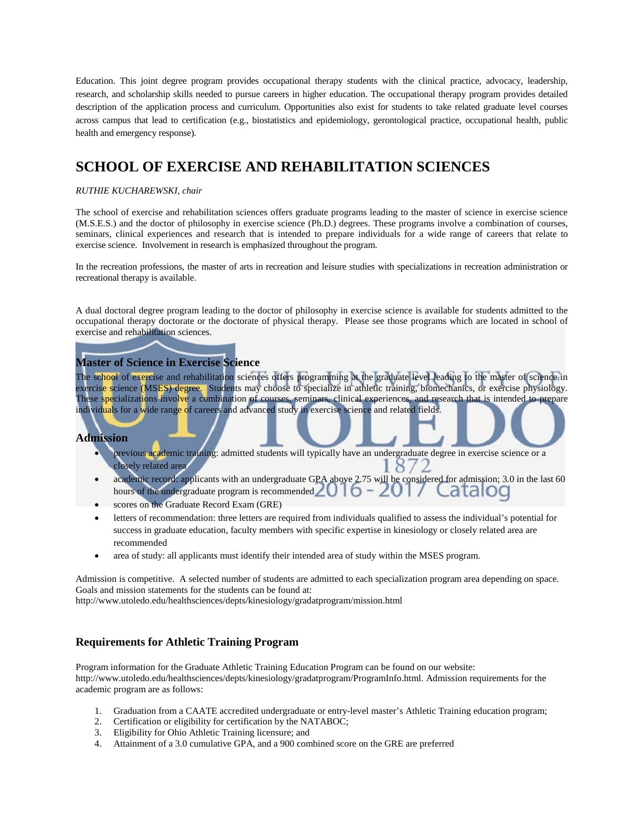Education. This joint degree program provides occupational therapy students with the clinical practice, advocacy, leadership, research, and scholarship skills needed to pursue careers in higher education. The occupational therapy program provides detailed description of the application process and curriculum. Opportunities also exist for students to take related graduate level courses across campus that lead to certification (e.g., biostatistics and epidemiology, gerontological practice, occupational health, public health and emergency response).

## **SCHOOL OF EXERCISE AND REHABILITATION SCIENCES**

#### *RUTHIE KUCHAREWSKI, chair*

The school of exercise and rehabilitation sciences offers graduate programs leading to the master of science in exercise science (M.S.E.S.) and the doctor of philosophy in exercise science (Ph.D.) degrees. These programs involve a combination of courses, seminars, clinical experiences and research that is intended to prepare individuals for a wide range of careers that relate to exercise science. Involvement in research is emphasized throughout the program.

In the recreation professions, the master of arts in recreation and leisure studies with specializations in recreation administration or recreational therapy is available.

A dual doctoral degree program leading to the doctor of philosophy in exercise science is available for students admitted to the occupational therapy doctorate or the doctorate of physical therapy. Please see those programs which are located in school of exercise and rehabilitation sciences.

## **Master of Science in Exercise Science**

The school of exercise and rehabilitation sciences offers programming at the graduate level leading to the master of science in exercise science (MSES) degree. Students may choose to specialize in athletic training, biomechanics, or exercise physiology. These specializations involve a combination of courses, seminars, clinical experiences, and research that is intended to prepare individuals for a wide range of careers and advanced study in exercise science and related fields.

#### **Admission**

- previous academic training: admitted students will typically have an undergraduate degree in exercise science or a closely related area ర
- academic record: applicants with an undergraduate GPA above 2.75 will be considered for admission; 3.0 in the last 60 hours of the undergraduate program is recommended  $\Box$
- scores on the Graduate Record Exam (GRE)
- letters of recommendation: three letters are required from individuals qualified to assess the individual's potential for success in graduate education, faculty members with specific expertise in kinesiology or closely related area are recommended
- area of study: all applicants must identify their intended area of study within the MSES program.

Admission is competitive. A selected number of students are admitted to each specialization program area depending on space. Goals and mission statements for the students can be found at:

<http://www.utoledo.edu/healthsciences/depts/kinesiology/gradatprogram/mission.html>

## **Requirements for Athletic Training Program**

Program information for the Graduate Athletic Training Education Program can be found on our website: [http://www.utoledo.edu/healthsciences/depts/kinesiology/gradatprogram/ProgramInfo.html.](http://www.utoledo.edu/healthsciences/depts/kinesiology/gradatprogram/ProgramInfo.html) Admission requirements for the academic program are as follows:

- 1. Graduation from a CAATE accredited undergraduate or entry-level master's Athletic Training education program;
- 2. Certification or eligibility for certification by the NATABOC;
- 3. Eligibility for Ohio Athletic Training licensure; and
- 4. Attainment of a 3.0 cumulative GPA, and a 900 combined score on the GRE are preferred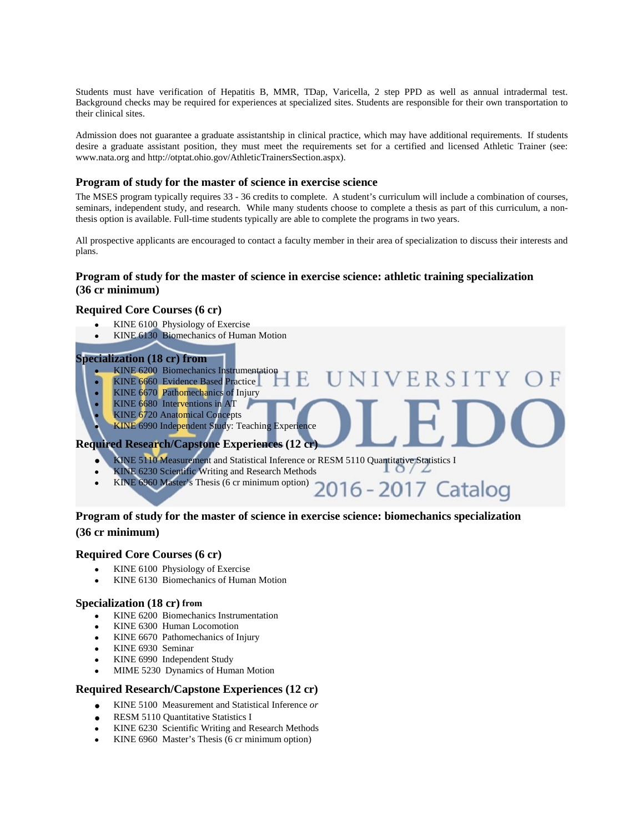Students must have verification of Hepatitis B, MMR, TDap, Varicella, 2 step PPD as well as annual intradermal test. Background checks may be required for experiences at specialized sites. Students are responsible for their own transportation to their clinical sites.

Admission does not guarantee a graduate assistantship in clinical practice, which may have additional requirements. If students desire a graduate assistant position, they must meet the requirements set for a certified and licensed Athletic Trainer (see: [www.nata.org](http://www.nata.org/) an[d http://otptat.ohio.gov/AthleticTrainersSection.aspx\)](http://otptat.ohio.gov/AthleticTrainersSection.aspx).

## **Program of study for the master of science in exercise science**

The MSES program typically requires 33 - 36 credits to complete. A student's curriculum will include a combination of courses, seminars, independent study, and research. While many students choose to complete a thesis as part of this curriculum, a nonthesis option is available. Full-time students typically are able to complete the programs in two years.

All prospective applicants are encouraged to contact a faculty member in their area of specialization to discuss their interests and plans.

**VERSITY** 

## **Program of study for the master of science in exercise science: athletic training specialization (36 cr minimum)**

#### **Required Core Courses (6 cr)**

- KINE 6100 Physiology of Exercise
- KINE 6130 Biomechanics of Human Motion

## **Specialization (18 cr) from**

- KINE 6200 Biomechanics Instrumentation
- KINE 6660 Evidence Based Practice
- KINE 6670 Pathomechanics of Injury
- KINE 6680 Interventions in AT
- KINE 6720 Anatomical Concepts

## **KINE 6990 Independent Study: Teaching Experience**

## **Required Research/Capstone Experiences (12 cr)**

- KINE 5110 Measurement and Statistical Inference or RESM 5110 Quantitative Statistics I
- KINE 6230 Scientific Writing and Research Methods
- KINE 6960 Master's Thesis (6 cr minimum option) 2016 2017 Catalog

## **Program of study for the master of science in exercise science: biomechanics specialization (36 cr minimum)**

#### **Required Core Courses (6 cr)**

- KINE 6100 Physiology of Exercise
- KINE 6130 Biomechanics of Human Motion

#### **Specialization (18 cr) from**

- KINE 6200 Biomechanics Instrumentation
- KINE 6300 Human Locomotion
- KINE 6670 Pathomechanics of Injury
- KINE 6930 Seminar
- KINE 6990 Independent Study
- MIME 5230 Dynamics of Human Motion

## **Required Research/Capstone Experiences (12 cr)**

- KINE 5100 Measurement and Statistical Inference *or*
- RESM 5110 Quantitative Statistics I
- KINE 6230 Scientific Writing and Research Methods
- KINE 6960 Master's Thesis (6 cr minimum option)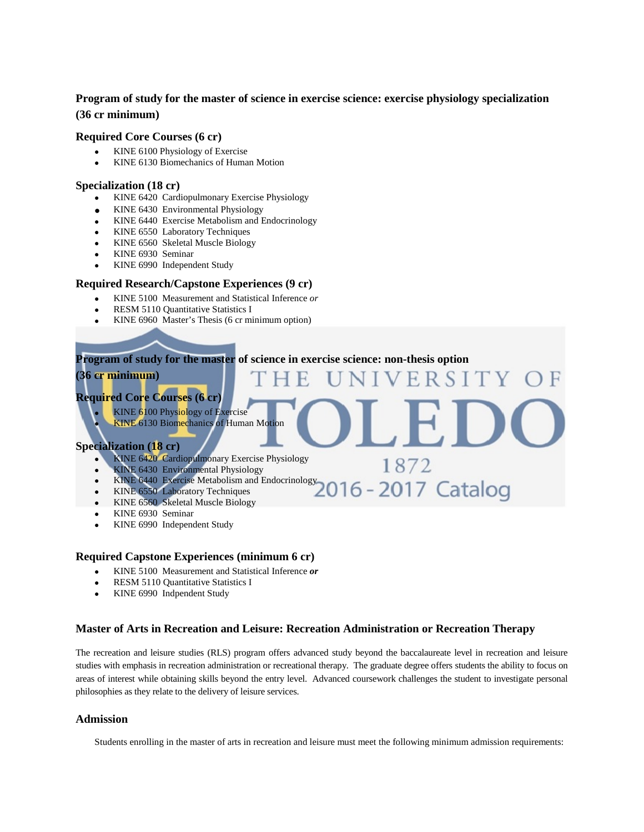## **Program of study for the master of science in exercise science: exercise physiology specialization (36 cr minimum)**

### **Required Core Courses (6 cr)**

- KINE 6100 Physiology of Exercise
- KINE 6130 Biomechanics of Human Motion

### **Specialization (18 cr)**

- KINE 6420 Cardiopulmonary Exercise Physiology
- KINE 6430 Environmental Physiology
- KINE 6440 Exercise Metabolism and Endocrinology
- KINE 6550 Laboratory Techniques
- KINE 6560 Skeletal Muscle Biology
- KINE 6930 Seminar
- KINE 6990 Independent Study

### **Required Research/Capstone Experiences (9 cr)**

- KINE 5100 Measurement and Statistical Inference *or*
- RESM 5110 Quantitative Statistics I
- KINE 6960 Master's Thesis (6 cr minimum option)

## **Program of study for the master of science in exercise science: non-thesis option**

R S

1872

6-2017 Catalog

## **(36 cr minimum)**

## **Required Core Courses (6 cr)**

## • KINE 6100 Physiology of Exercise

**KINE 6130 Biomechanics of Human Motion** 

## **Specialization (18 cr)**

- KINE 6420 Cardiopulmonary Exercise Physiology
- KINE 6430 Environmental Physiology
- KINE 6440 Exercise Metabolism and Endocrinology
- KINE 6550 Laboratory Techniques
- KINE 6560 Skeletal Muscle Biology
- KINE 6930 Seminar
- KINE 6990 Independent Study

#### **Required Capstone Experiences (minimum 6 cr)**

- KINE 5100 Measurement and Statistical Inference *or*
- RESM 5110 Quantitative Statistics I
- KINE 6990 Indpendent Study

## **Master of Arts in Recreation and Leisure: Recreation Administration or Recreation Therapy**

The recreation and leisure studies (RLS) program offers advanced study beyond the baccalaureate level in recreation and leisure studies with emphasis in recreation administration or recreational therapy. The graduate degree offers students the ability to focus on areas of interest while obtaining skills beyond the entry level. Advanced coursework challenges the student to investigate personal philosophies as they relate to the delivery of leisure services.

#### **Admission**

Students enrolling in the master of arts in recreation and leisure must meet the following minimum admission requirements: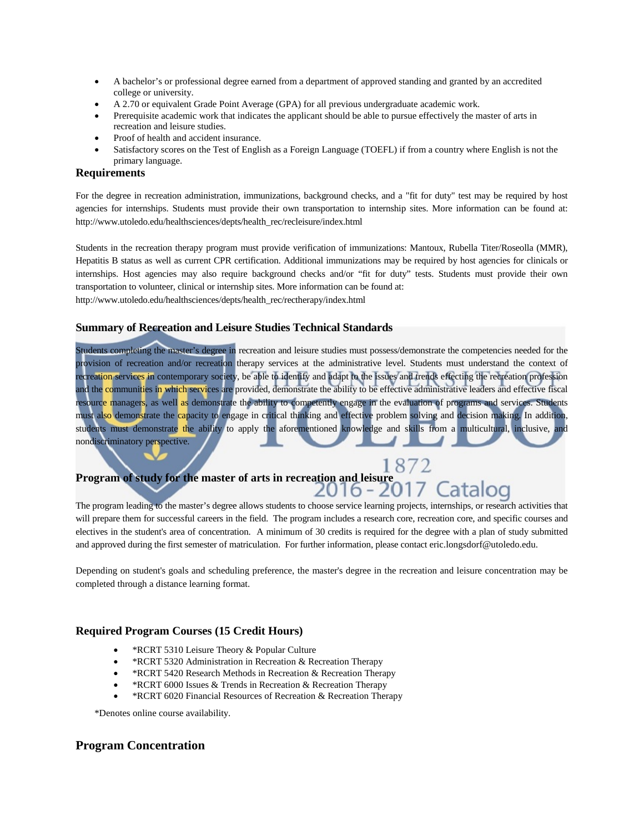- A bachelor's or professional degree earned from a department of approved standing and granted by an accredited college or university.
- A 2.70 or equivalent Grade Point Average (GPA) for all previous undergraduate academic work.
- Prerequisite academic work that indicates the applicant should be able to pursue effectively the master of arts in recreation and leisure studies.
- Proof of health and accident insurance.
- Satisfactory scores on the Test of English as a Foreign Language (TOEFL) if from a country where English is not the primary language.

### **Requirements**

For the degree in recreation administration, immunizations, background checks, and a "fit for duty" test may be required by host agencies for internships. Students must provide their own transportation to internship sites. More information can be found at: [http://www.utoledo.edu/healthsciences/depts/health\\_rec/recleisure/index.html](http://www.utoledo.edu/healthsciences/depts/health_rec/recleisure/index.html)

Students in the recreation therapy program must provide verification of immunizations: Mantoux, Rubella Titer/Roseolla (MMR), Hepatitis B status as well as current CPR certification. Additional immunizations may be required by host agencies for clinicals or internships. Host agencies may also require background checks and/or "fit for duty" tests. Students must provide their own transportation to volunteer, clinical or internship sites. More information can be found at: [http://www.utoledo.edu/healthsciences/depts/health\\_rec/rectherapy/index.html](http://www.utoledo.edu/healthsciences/depts/health_rec/rectherapy/index.html)

## **Summary of Recreation and Leisure Studies Technical Standards**

Students completing the master's degree in recreation and leisure studies must possess/demonstrate the competencies needed for the provision of recreation and/or recreation therapy services at the administrative level. Students must understand the context of recreation services in contemporary society, be able to identify and adapt to the issues and trends effecting the recreation profession and the communities in which services are provided, demonstrate the ability to be effective administrative leaders and effective fiscal resource managers, as well as demonstrate the ability to competently engage in the evaluation of programs and services. Students must also demonstrate the capacity to engage in critical thinking and effective problem solving and decision making. In addition, students must demonstrate the ability to apply the aforementioned knowledge and skills from a multicultural, inclusive, and nondiscriminatory perspective.

## **Program of study for the master of arts in recreation and leisure** 2016 - 2

The program leading to the master's degree allows students to choose service learning projects, internships, or research activities that will prepare them for successful careers in the field. The program includes a research core, recreation core, and specific courses and electives in the student's area of concentration. A minimum of 30 credits is required for the degree with a plan of study submitted and approved during the first semester of matriculation. For further information, please contact eric.longsdorf@utoledo.edu.

Depending on student's goals and scheduling preference, the master's degree in the recreation and leisure concentration may be completed through a distance learning format.

## **Required Program Courses (15 Credit Hours)**

- \*RCRT 5310 Leisure Theory & Popular Culture
- \* RCRT 5320 Administration in Recreation & Recreation Therapy
- \* RCRT 5420 Research Methods in Recreation & Recreation Therapy
- \*RCRT 6000 Issues & Trends in Recreation & Recreation Therapy
- \*RCRT 6020 Financial Resources of Recreation & Recreation Therapy

\*Denotes online course availability.

## **Program Concentration**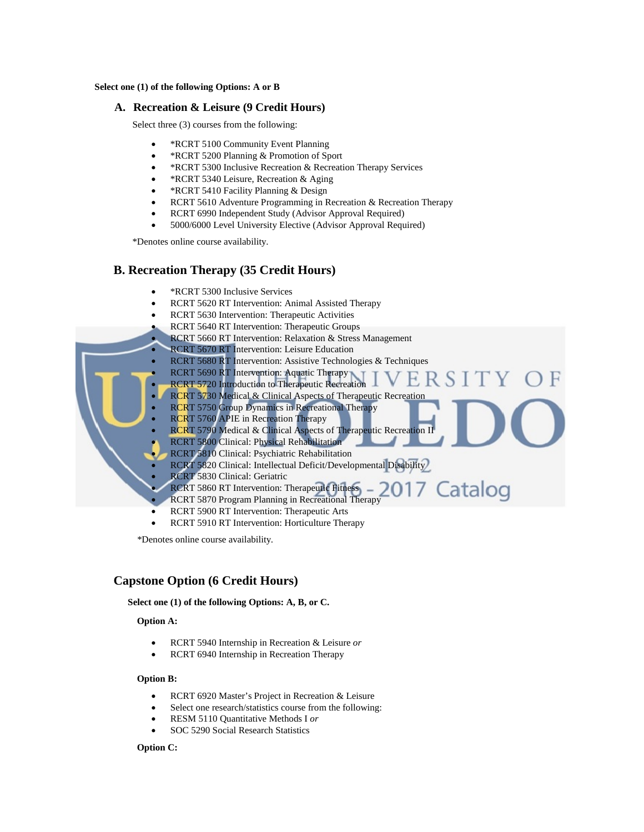#### **Select one (1) of the following Options: A or B**

#### **A. Recreation & Leisure (9 Credit Hours)**

Select three (3) courses from the following:

- \*RCRT 5100 Community Event Planning
- \*RCRT 5200 Planning & Promotion of Sport
- \*RCRT 5300 Inclusive Recreation & Recreation Therapy Services
- \*RCRT 5340 Leisure, Recreation & Aging
- \*RCRT 5410 Facility Planning & Design
- RCRT 5610 Adventure Programming in Recreation & Recreation Therapy
- RCRT 6990 Independent Study (Advisor Approval Required)
- 5000/6000 Level University Elective (Advisor Approval Required)

\*Denotes online course availability.

### **B. Recreation Therapy (35 Credit Hours)**



- RCRT 5620 RT Intervention: Animal Assisted Therapy
- RCRT 5630 Intervention: Therapeutic Activities
	- RCRT 5640 RT Intervention: Therapeutic Groups
	- RCRT 5660 RT Intervention: Relaxation & Stress Management
	- RCRT 5670 RT Intervention: Leisure Education
	- RCRT 5680 RT Intervention: Assistive Technologies & Techniques
- RCRT 5690 RT Intervention: Aquatic Therapy
- **RCRT 5720 Introduction to Therapeutic Recreation** 
	- RCRT 5730 Medical & Clinical Aspects of Therapeutic Recreation
	- RCRT 5750 Group Dynamics in Recreational Therapy
	- RCRT 5760 APIE in Recreation Therapy
	- RCRT 5790 Medical & Clinical Aspects of Therapeutic Recreation II
	- RCRT 5800 Clinical: Physical Rehabilitation
	- RCRT 5810 Clinical: Psychiatric Rehabilitation
	- RCRT 5820 Clinical: Intellectual Deficit/Developmental Disability
	- RCRT 5830 Clinical: Geriatric
	- Catalog RCRT 5860 RT Intervention: Therapeutic Fitness
	- RCRT 5870 Program Planning in Recreational Therapy
	- RCRT 5900 RT Intervention: Therapeutic Arts
	- RCRT 5910 RT Intervention: Horticulture Therapy

\*Denotes online course availability.

## **Capstone Option (6 Credit Hours)**

#### **Select one (1) of the following Options: A, B, or C.**

#### **Option A:**

- RCRT 5940 Internship in Recreation & Leisure *or*
- RCRT 6940 Internship in Recreation Therapy

#### **Option B:**

- RCRT 6920 Master's Project in Recreation & Leisure
- Select one research/statistics course from the following:
- RESM 5110 Quantitative Methods I *or*
- SOC 5290 Social Research Statistics

#### **Option C:**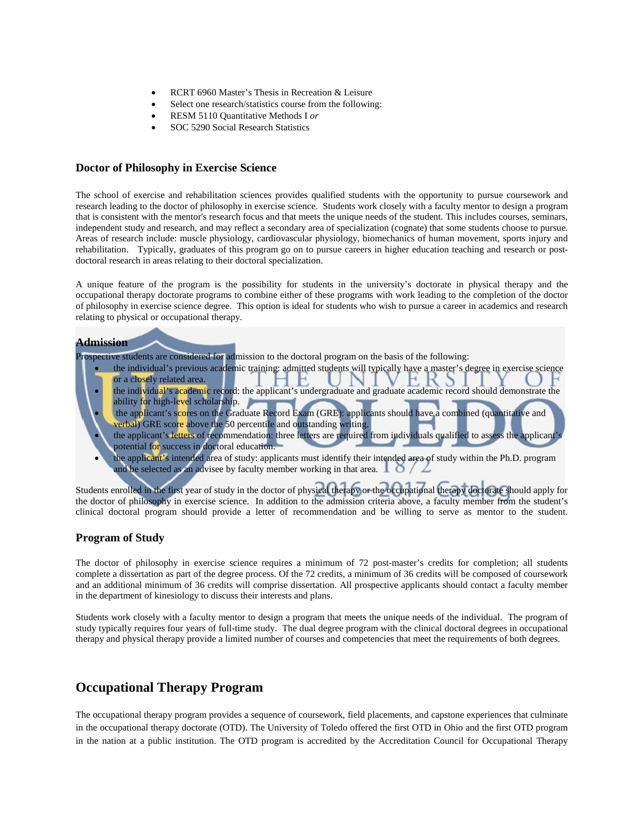- RCRT 6960 Master's Thesis in Recreation & Leisure
- Select one research/statistics course from the following:
- RESM 5110 Quantitative Methods I *or*
- SOC 5290 Social Research Statistics

## **Doctor of Philosophy in Exercise Science**

The school of exercise and rehabilitation sciences provides qualified students with the opportunity to pursue coursework and research leading to the doctor of philosophy in exercise science. Students work closely with a faculty mentor to design a program that is consistent with the mentor's research focus and that meets the unique needs of the student. This includes courses, seminars, independent study and research, and may reflect a secondary area of specialization (cognate) that some students choose to pursue. Areas of research include: muscle physiology, cardiovascular physiology, biomechanics of human movement, sports injury and rehabilitation. Typically, graduates of this program go on to pursue careers in higher education teaching and research or postdoctoral research in areas relating to their doctoral specialization.

A unique feature of the program is the possibility for students in the university's doctorate in physical therapy and the occupational therapy doctorate programs to combine either of these programs with work leading to the completion of the doctor of philosophy in exercise science degree. This option is ideal for students who wish to pursue a career in academics and research relating to physical or occupational therapy.

#### **Admission**

Prospective students are considered for admission to the doctoral program on the basis of the following:

- the individual's previous academic training: admitted students will typically have a master's degree in exercise science or a closely related area.
- the individual's academic record: the applicant's undergraduate and graduate academic record should demonstrate the ability for high-level scholarship.
- the applicant's scores on the Graduate Record Exam (GRE): applicants should have a combined (quantitative and verbal) GRE score above the 50 percentile and outstanding writing.
- the applicant's letters of recommendation: three letters are required from individuals qualified to assess the applicant's potential for success in doctoral education.
- the applicant's intended area of study: applicants must identify their intended area of study within the Ph.D. program and be selected as an advisee by faculty member working in that area.  $\Box$   $\Diamond$  /  $\angle$

Students enrolled in the first year of study in the doctor of physical therapy or the occupational therapy doctorate should apply for the doctor of philosophy in exercise science. In addition to the admission criteria above, a faculty member from the student's clinical doctoral program should provide a letter of recommendation and be willing to serve as mentor to the student.

## **Program of Study**

The doctor of philosophy in exercise science requires a minimum of 72 post-master's credits for completion; all students complete a dissertation as part of the degree process. Of the 72 credits, a minimum of 36 credits will be composed of coursework and an additional minimum of 36 credits will comprise dissertation. All prospective applicants should contact a faculty member in the department of kinesiology to discuss their interests and plans.

Students work closely with a faculty mentor to design a program that meets the unique needs of the individual. The program of study typically requires four years of full-time study. The dual degree program with the clinical doctoral degrees in occupational therapy and physical therapy provide a limited number of courses and competencies that meet the requirements of both degrees.

## **Occupational Therapy Program**

The occupational therapy program provides a sequence of coursework, field placements, and capstone experiences that culminate in the occupational therapy doctorate (OTD). The University of Toledo offered the first OTD in Ohio and the first OTD program in the nation at a public institution. The OTD program is accredited by the Accreditation Council for Occupational Therapy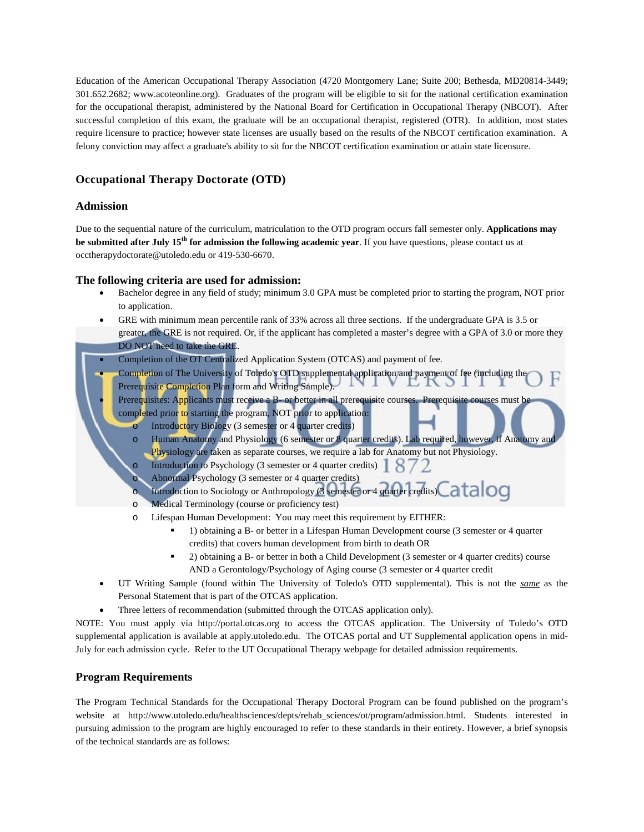Education of the American Occupational Therapy Association (4720 Montgomery Lane; Suite 200; Bethesda, MD20814-3449; 301.652.2682; [www.acoteonline.org\)](http://www.aota.org/Education-Careers/Accreditation.aspx). Graduates of the program will be eligible to sit for the national certification examination for the occupational therapist, administered by the National Board for Certification in Occupational Therapy (NBCOT). After successful completion of this exam, the graduate will be an occupational therapist, registered (OTR). In addition, most states require licensure to practice; however state licenses are usually based on the results of the NBCOT certification examination. A felony conviction may affect a graduate's ability to sit for the NBCOT certification examination or attain state licensure.

## **Occupational Therapy Doctorate (OTD)**

## **Admission**

Due to the sequential nature of the curriculum, matriculation to the OTD program occurs fall semester only. **Applications may be submitted after July 15th for admission the following academic year**. If you have questions, please contact us at [occtherapydoctorate@utoledo.edu](mailto:occtherdoctorate@utoledo.edu) or 419-530-6670.

## **The following criteria are used for admission:**

- Bachelor degree in any field of study; minimum 3.0 GPA must be completed prior to starting the program, NOT prior to application.
- GRE with minimum mean percentile rank of 33% across all three sections. If the undergraduate GPA is 3.5 or greater, the GRE is not required. Or, if the applicant has completed a master's degree with a GPA of 3.0 or more they DO NOT need to take the GRE.
- Completion of the OT Centralized Application System (OTCAS) and payment of fee.
- Completion of The University of Toledo's OTD supplemental application and payment of fee (including the<br>Prerequisite Completion Plan form and Writing Sample) Prerequisite Completion Plan form and Writing Sample).
	- Prerequisites: Applicants must receive a B- or better in all prerequisite courses. Prerequisite courses must be completed prior to starting the program, NOT prior to application:
		- o Introductory Biology (3 semester or 4 quarter credits)
			- Human Anatomy and Physiology (6 semester or 8 quarter credits). Lab required, however, if Anatomy and Physiology are taken as separate courses, we require a lab for Anatomy but not Physiology.
		- o Introduction to Psychology (3 semester or 4 quarter credits)  $\left[ \begin{array}{c} 8 \end{array} \right]$
		- Abnormal Psychology (3 semester or 4 quarter credits)

o Introduction to Sociology or Anthropology  $\beta$  semester or 4 quarter credits  $\text{Cat}$  OG

- Medical Terminology (course or proficiency test)
- o Lifespan Human Development: You may meet this requirement by EITHER:
	- 1) obtaining a B- or better in a Lifespan Human Development course (3 semester or 4 quarter credits) that covers human development from birth to death OR
	- 2) obtaining a B- or better in both a Child Development (3 semester or 4 quarter credits) course AND a Gerontology/Psychology of Aging course (3 semester or 4 quarter credit
- UT Writing Sample (found within The University of Toledo's OTD supplemental). This is not the *same* as the Personal Statement that is part of the OTCAS application.
- Three letters of recommendation (submitted through the OTCAS application only).

NOTE: You must apply via [http://portal.otcas.org](http://portal.otcas.org/) to access the OTCAS application. The University of Toledo's OTD supplemental application is available at apply.utoledo.edu. The OTCAS portal and UT Supplemental application opens in mid-July for each admission cycle. Refer to the UT Occupational Therapy webpage for detailed admission requirements.

## **Program Requirements**

The Program Technical Standards for the Occupational Therapy Doctoral Program can be found published on the program's website at http://www.utoledo.edu/healthsciences/depts/rehab\_sciences/ot/program/admission.html. Students interested in pursuing admission to the program are highly encouraged to refer to these standards in their entirety. However, a brief synopsis of the technical standards are as follows: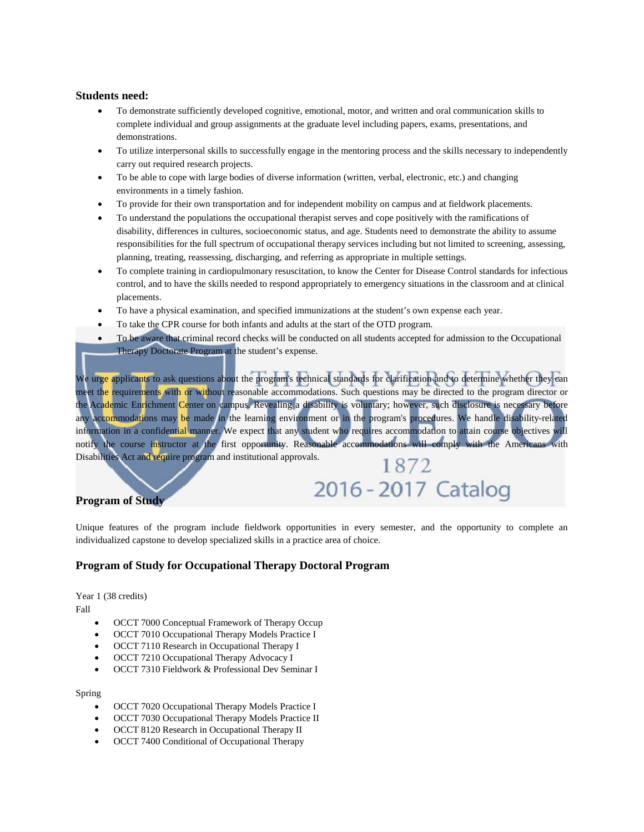## **Students need:**

- To demonstrate sufficiently developed cognitive, emotional, motor, and written and oral communication skills to complete individual and group assignments at the graduate level including papers, exams, presentations, and demonstrations.
- To utilize interpersonal skills to successfully engage in the mentoring process and the skills necessary to independently carry out required research projects.
- To be able to cope with large bodies of diverse information (written, verbal, electronic, etc.) and changing environments in a timely fashion.
- To provide for their own transportation and for independent mobility on campus and at fieldwork placements.
- To understand the populations the occupational therapist serves and cope positively with the ramifications of disability, differences in cultures, socioeconomic status, and age. Students need to demonstrate the ability to assume responsibilities for the full spectrum of occupational therapy services including but not limited to screening, assessing, planning, treating, reassessing, discharging, and referring as appropriate in multiple settings.
- To complete training in cardiopulmonary resuscitation, to know the Center for Disease Control standards for infectious control, and to have the skills needed to respond appropriately to emergency situations in the classroom and at clinical placements.
- To have a physical examination, and specified immunizations at the student's own expense each year.
- To take the CPR course for both infants and adults at the start of the OTD program.
- To be aware that criminal record checks will be conducted on all students accepted for admission to the Occupational Therapy Doctorate Program at the student's expense.

We urge applicants to ask questions about the program's technical standards for clarification and to determine whether they can meet the requirements with or without reasonable accommodations. Such questions may be directed to the program director or the Academic Enrichment Center on campus. Revealing a disability is voluntary; however, such disclosure is necessary before any accommodations may be made in the learning environment or in the program's procedures. We handle disability-related information in a confidential manner. We expect that any student who requires accommodation to attain course objectives will notify the course instructor at the first opportunity. Reasonable accommodations will comply with the Americans with Disabilities Act and require program and institutional approvals. 1872

## **Program of Study**

Unique features of the program include fieldwork opportunities in every semester, and the opportunity to complete an individualized capstone to develop specialized skills in a practice area of choice.

2016 - 2017 Catalog

## **Program of Study for Occupational Therapy Doctoral Program**

Year 1 (38 credits)

Fall

- OCCT 7000 Conceptual Framework of Therapy Occup
- OCCT 7010 Occupational Therapy Models Practice I
- OCCT 7110 Research in Occupational Therapy I
- OCCT 7210 Occupational Therapy Advocacy I
- OCCT 7310 Fieldwork & Professional Dev Seminar I

## Spring

- OCCT 7020 Occupational Therapy Models Practice I
- OCCT 7030 Occupational Therapy Models Practice II
- OCCT 8120 Research in Occupational Therapy II
- OCCT 7400 Conditional of Occupational Therapy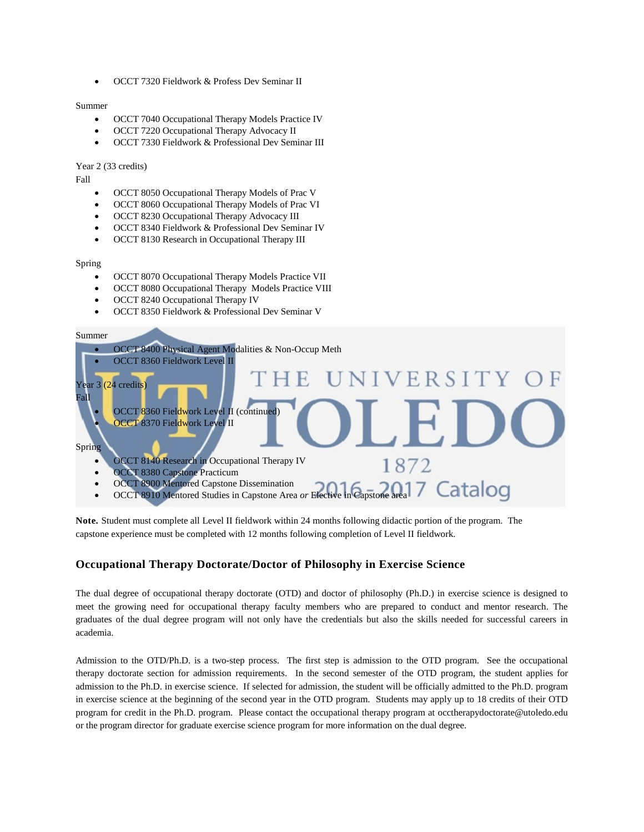• OCCT 7320 Fieldwork & Profess Dev Seminar II

#### Summer

- OCCT 7040 Occupational Therapy Models Practice IV
- OCCT 7220 Occupational Therapy Advocacy II
- OCCT 7330 Fieldwork & Professional Dev Seminar III

#### Year 2 (33 credits)

Fall

- OCCT 8050 Occupational Therapy Models of Prac V
- OCCT 8060 Occupational Therapy Models of Prac VI
- OCCT 8230 Occupational Therapy Advocacy III
- OCCT 8340 Fieldwork & Professional Dev Seminar IV
- OCCT 8130 Research in Occupational Therapy III

#### Spring

- OCCT 8070 Occupational Therapy Models Practice VII
- OCCT 8080 Occupational Therapy Models Practice VIII
- OCCT 8240 Occupational Therapy IV
- OCCT 8350 Fieldwork & Professional Dev Seminar V

#### Summer



**Note.** Student must complete all Level II fieldwork within 24 months following didactic portion of the program. The capstone experience must be completed with 12 months following completion of Level II fieldwork.

## **Occupational Therapy Doctorate/Doctor of Philosophy in Exercise Science**

The dual degree of occupational therapy doctorate (OTD) and doctor of philosophy (Ph.D.) in exercise science is designed to meet the growing need for occupational therapy faculty members who are prepared to conduct and mentor research. The graduates of the dual degree program will not only have the credentials but also the skills needed for successful careers in academia.

Admission to the OTD/Ph.D. is a two-step process. The first step is admission to the OTD program. See the occupational therapy doctorate section for admission requirements. In the second semester of the OTD program, the student applies for admission to the Ph.D. in exercise science. If selected for admission, the student will be officially admitted to the Ph.D. program in exercise science at the beginning of the second year in the OTD program. Students may apply up to 18 credits of their OTD program for credit in the Ph.D. program. Please contact the occupational therapy program at [occtherapydoctorate@utoledo.edu](mailto:occtherapydoctorate@utoledo.edu) or the program director for graduate exercise science program for more information on the dual degree.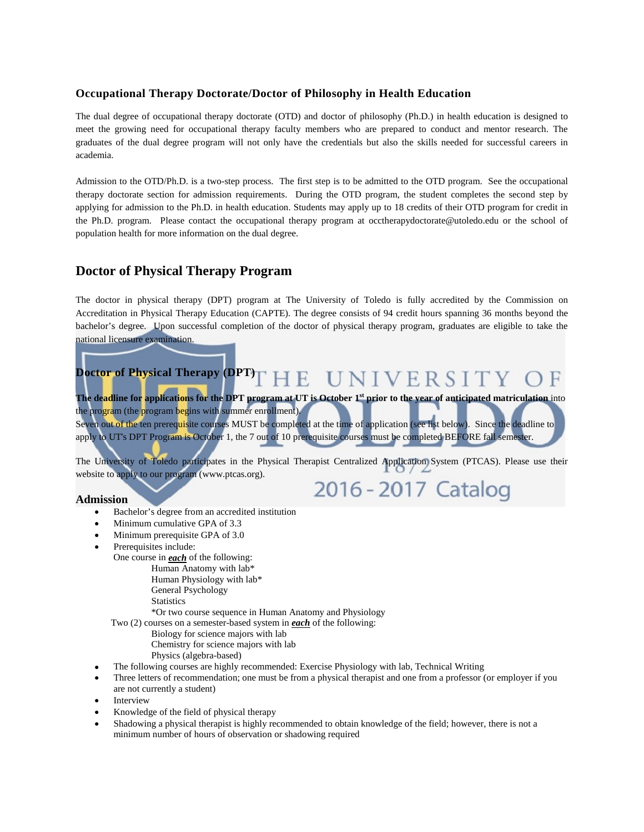## **Occupational Therapy Doctorate/Doctor of Philosophy in Health Education**

The dual degree of occupational therapy doctorate (OTD) and doctor of philosophy (Ph.D.) in health education is designed to meet the growing need for occupational therapy faculty members who are prepared to conduct and mentor research. The graduates of the dual degree program will not only have the credentials but also the skills needed for successful careers in academia.

Admission to the OTD/Ph.D. is a two-step process. The first step is to be admitted to the OTD program. See the occupational therapy doctorate section for admission requirements. During the OTD program, the student completes the second step by applying for admission to the Ph.D. in health education. Students may apply up to 18 credits of their OTD program for credit in the Ph.D. program. Please contact the occupational therapy program at [occtherapydoctorate@utoledo.edu](mailto:occtherapydoctorate@utoledo.edu) or the school of population health for more information on the dual degree.

## **Doctor of Physical Therapy Program**

The doctor in physical therapy (DPT) program at The University of Toledo is fully accredited by the Commission on Accreditation in Physical Therapy Education (CAPTE). The degree consists of 94 credit hours spanning 36 months beyond the bachelor's degree. Upon successful completion of the doctor of physical therapy program, graduates are eligible to take the national licensure examination.

#### **Doctor of Physical Therapy (DPT)** HE UNIVERSIT F

**The deadline for applications for the DPT program at UT is October 1st prior to the year of anticipated matriculation** into the program (the program begins with summer enrollment). Seven out of the ten prerequisite courses MUST be completed at the time of application (see list below). Since the deadline to apply to UT's DPT Program is October 1, the 7 out of 10 prerequisite courses must be completed BEFORE fall semester.

The University of Toledo participates in the Physical Therapist Centralized Application System (PTCAS). Please use their website to apply to our program [\(www.ptcas.org\)](http://www.ptcas.org/). 2016 - 2017 Catalog

#### **Admission**

- Bachelor's degree from an accredited institution
- Minimum cumulative GPA of 3.3
- Minimum prerequisite GPA of 3.0
- Prerequisites include:

 One course in *each* of the following: Human Anatomy with lab\*

- Human Physiology with lab\*
- General Psychology

**Statistics** 

\*Or two course sequence in Human Anatomy and Physiology

Two (2) courses on a semester-based system in *each* of the following:

- Biology for science majors with lab
- Chemistry for science majors with lab
- Physics (algebra-based)
- The following courses are highly recommended: Exercise Physiology with lab, Technical Writing
- Three letters of recommendation; one must be from a physical therapist and one from a professor (or employer if you are not currently a student)
- **Interview**
- Knowledge of the field of physical therapy
- Shadowing a physical therapist is highly recommended to obtain knowledge of the field; however, there is not a minimum number of hours of observation or shadowing required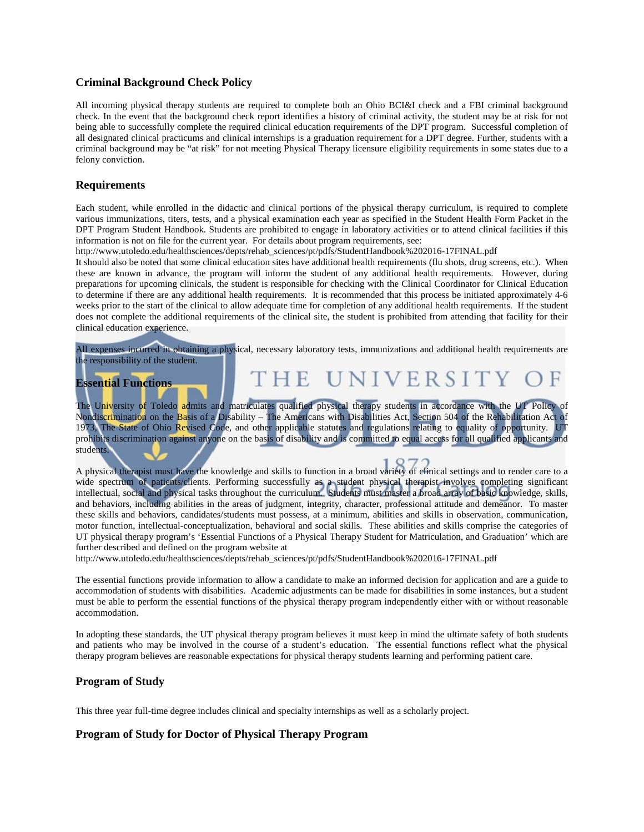### **Criminal Background Check Policy**

All incoming physical therapy students are required to complete both an Ohio BCI&I check and a FBI criminal background check. In the event that the background check report identifies a history of criminal activity, the student may be at risk for not being able to successfully complete the required clinical education requirements of the DPT program. Successful completion of all designated clinical practicums and clinical internships is a graduation requirement for a DPT degree. Further, students with a criminal background may be "at risk" for not meeting Physical Therapy licensure eligibility requirements in some states due to a felony conviction.

### **Requirements**

Each student, while enrolled in the didactic and clinical portions of the physical therapy curriculum, is required to complete various immunizations, titers, tests, and a physical examination each year as specified in the Student Health Form Packet in the DPT Program Student Handbook. Students are prohibited to engage in laboratory activities or to attend clinical facilities if this information is not on file for the current year. For details about program requirements, see:

http://www.utoledo.edu/healthsciences/depts/rehab\_sciences/pt/pdfs/StudentHandbook%202016-17FINAL.pdf

It should also be noted that some clinical education sites have additional health requirements (flu shots, drug screens, etc.). When these are known in advance, the program will inform the student of any additional health requirements. However, during preparations for upcoming clinicals, the student is responsible for checking with the Clinical Coordinator for Clinical Education to determine if there are any additional health requirements. It is recommended that this process be initiated approximately 4-6 weeks prior to the start of the clinical to allow adequate time for completion of any additional health requirements. If the student does not complete the additional requirements of the clinical site, the student is prohibited from attending that facility for their clinical education experience.

All expenses incurred in obtaining a physical, necessary laboratory tests, immunizations and additional health requirements are the responsibility of the student.

THE UNIVERSITY

## **Essential Functions**

The University of Toledo admits and matriculates qualified physical therapy students in accordance with the UT Policy of Nondiscrimination on the Basis of a Disability – The Americans with Disabilities Act, Section 504 of the Rehabilitation Act of 1973, The State of Ohio Revised Code, and other applicable statutes and regulations relating to equality of opportunity. UT prohibits discrimination against anyone on the basis of disability and is committed to equal access for all qualified applicants and students.

A physical therapist must have the knowledge and skills to function in a broad variety of clinical settings and to render care to a wide spectrum of patients/clients. Performing successfully as a student physical therapist involves completing significant intellectual, social and physical tasks throughout the curriculum. Students must master a broad array of basic knowledge, skills, and behaviors, including abilities in the areas of judgment, integrity, character, professional attitude and demeanor. To master these skills and behaviors, candidates/students must possess, at a minimum, abilities and skills in observation, communication, motor function, intellectual-conceptualization, behavioral and social skills. These abilities and skills comprise the categories of UT physical therapy program's 'Essential Functions of a Physical Therapy Student for Matriculation, and Graduation' which are further described and defined on the program website at

http://www.utoledo.edu/healthsciences/depts/rehab\_sciences/pt/pdfs/StudentHandbook%202016-17FINAL.pdf

The essential functions provide information to allow a candidate to make an informed decision for application and are a guide to accommodation of students with disabilities. Academic adjustments can be made for disabilities in some instances, but a student must be able to perform the essential functions of the physical therapy program independently either with or without reasonable accommodation.

In adopting these standards, the UT physical therapy program believes it must keep in mind the ultimate safety of both students and patients who may be involved in the course of a student's education. The essential functions reflect what the physical therapy program believes are reasonable expectations for physical therapy students learning and performing patient care.

## **Program of Study**

This three year full-time degree includes clinical and specialty internships as well as a scholarly project.

## **Program of Study for Doctor of Physical Therapy Program**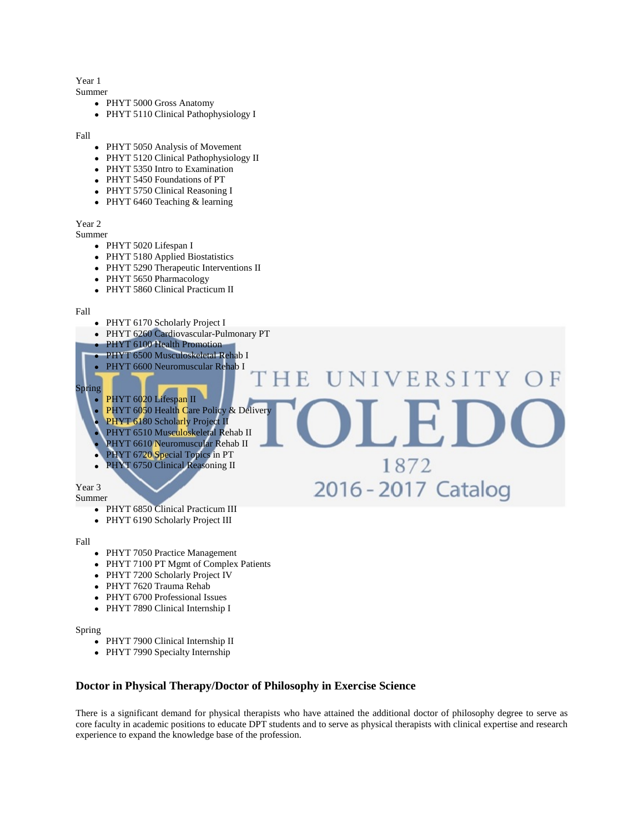## Year 1

Summer

- PHYT 5000 Gross Anatomy
- PHYT 5110 Clinical Pathophysiology I

Fall

- PHYT 5050 Analysis of Movement
- PHYT 5120 Clinical Pathophysiology II
- PHYT 5350 Intro to Examination
- PHYT 5450 Foundations of PT
- PHYT 5750 Clinical Reasoning I
- PHYT 6460 Teaching & learning

Year 2

- Summer
	- PHYT 5020 Lifespan I
	- PHYT 5180 Applied Biostatistics
	- PHYT 5290 Therapeutic Interventions II
	- PHYT 5650 Pharmacology
	- PHYT 5860 Clinical Practicum II





- PHYT 6850 Clinical Practicum III
- PHYT 6190 Scholarly Project III

Fall

- PHYT 7050 Practice Management
- PHYT 7100 PT Mgmt of Complex Patients
- PHYT 7200 Scholarly Project IV
- PHYT 7620 Trauma Rehab
- PHYT 6700 Professional Issues
- PHYT 7890 Clinical Internship I

Spring

- PHYT 7900 Clinical Internship II
- PHYT 7990 Specialty Internship

## **Doctor in Physical Therapy/Doctor of Philosophy in Exercise Science**

There is a significant demand for physical therapists who have attained the additional doctor of philosophy degree to serve as core faculty in academic positions to educate DPT students and to serve as physical therapists with clinical expertise and research experience to expand the knowledge base of the profession.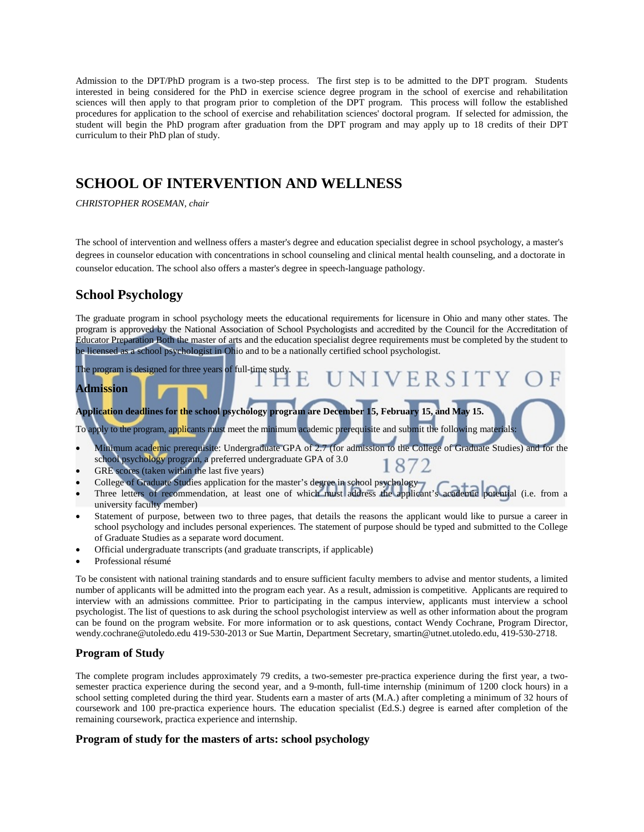Admission to the DPT/PhD program is a two-step process. The first step is to be admitted to the DPT program. Students interested in being considered for the PhD in exercise science degree program in the school of exercise and rehabilitation sciences will then apply to that program prior to completion of the DPT program. This process will follow the established procedures for application to the school of exercise and rehabilitation sciences' doctoral program. If selected for admission, the student will begin the PhD program after graduation from the DPT program and may apply up to 18 credits of their DPT curriculum to their PhD plan of study.

## **SCHOOL OF INTERVENTION AND WELLNESS**

*CHRISTOPHER ROSEMAN, chair*

The school of intervention and wellness offers a master's degree and education specialist degree in school psychology, a master's degrees in counselor education with concentrations in school counseling and clinical mental health counseling, and a doctorate in counselor education. The school also offers a master's degree in speech-language pathology.

## **School Psychology**

The graduate program in school psychology meets the educational requirements for licensure in Ohio and many other states. The program is approved by the National Association of School Psychologists and accredited by the Council for the Accreditation of Educator Preparation Both the master of arts and the education specialist degree requirements must be completed by the student to be licensed as a school psychologist in Ohio and to be a nationally certified school psychologist.

## The program is designed for three years of full-time study. VERSIT **Admission**

**Application deadlines for the school psychology program are December 15, February 15, and May 15.**

To apply to the program, applicants must meet the minimum academic prerequisite and submit the following materials:

- Minimum academic prerequisite: Undergraduate GPA of 2.7 (for admission to the College of Graduate Studies) and for the school psychology program, a preferred undergraduate GPA of 3.0
- GRE scores (taken within the last five years)
- College of Graduate Studies application for the master's degree in school psychology
- Three letters of recommendation, at least one of which must address the applicant's academic potential (i.e. from a university faculty member)
- Statement of purpose, between two to three pages, that details the reasons the applicant would like to pursue a career in school psychology and includes personal experiences. The statement of purpose should be typed and submitted to the College of Graduate Studies as a separate word document.
- Official undergraduate transcripts (and graduate transcripts, if applicable)
- Professional résumé

To be consistent with national training standards and to ensure sufficient faculty members to advise and mentor students, a limited number of applicants will be admitted into the program each year. As a result, admission is competitive. Applicants are required to interview with an admissions committee. Prior to participating in the campus interview, applicants must interview a school psychologist. The list of questions to ask during the school psychologist interview as well as other information about the program can be found on the program website. For more information or to ask questions, contact Wendy Cochrane, Program Director, wendy.cochrane@utoledo.edu 419-530-2013 or Sue Martin, Department Secretary, smartin@utnet.utoledo.edu, 419-530-2718.

## **Program of Study**

The complete program includes approximately 79 credits, a two-semester pre-practica experience during the first year, a twosemester practica experience during the second year, and a 9-month, full-time internship (minimum of 1200 clock hours) in a school setting completed during the third year. Students earn a master of arts (M.A.) after completing a minimum of 32 hours of coursework and 100 pre-practica experience hours. The education specialist (Ed.S.) degree is earned after completion of the remaining coursework, practica experience and internship.

## **Program of study for the masters of arts: school psychology**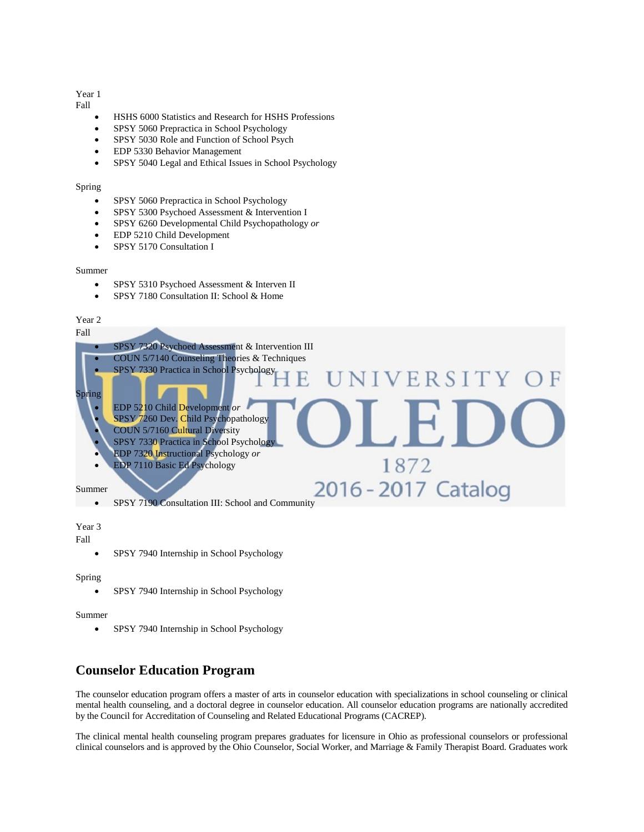### Year 1

Fall

- HSHS 6000 Statistics and Research for HSHS Professions
- SPSY 5060 Prepractica in School Psychology
- SPSY 5030 Role and Function of School Psych
- EDP 5330 Behavior Management
- SPSY 5040 Legal and Ethical Issues in School Psychology

#### Spring

- SPSY 5060 Prepractica in School Psychology
- SPSY 5300 Psychoed Assessment & Intervention I
- SPSY 6260 Developmental Child Psychopathology *or*
- EDP 5210 Child Development
- SPSY 5170 Consultation I

#### Summer

- SPSY 5310 Psychoed Assessment & Interven II
- SPSY 7180 Consultation II: School & Home

## Year 2



Year 3

Fall

• SPSY 7940 Internship in School Psychology

#### Spring

• SPSY 7940 Internship in School Psychology

#### Summer

• SPSY 7940 Internship in School Psychology

## **Counselor Education Program**

The counselor education program offers a master of arts in counselor education with specializations in school counseling or clinical mental health counseling, and a doctoral degree in counselor education. All counselor education programs are nationally accredited by the Council for Accreditation of Counseling and Related Educational Programs (CACREP).

The clinical mental health counseling program prepares graduates for licensure in Ohio as professional counselors or professional clinical counselors and is approved by the Ohio Counselor, Social Worker, and Marriage & Family Therapist Board. Graduates work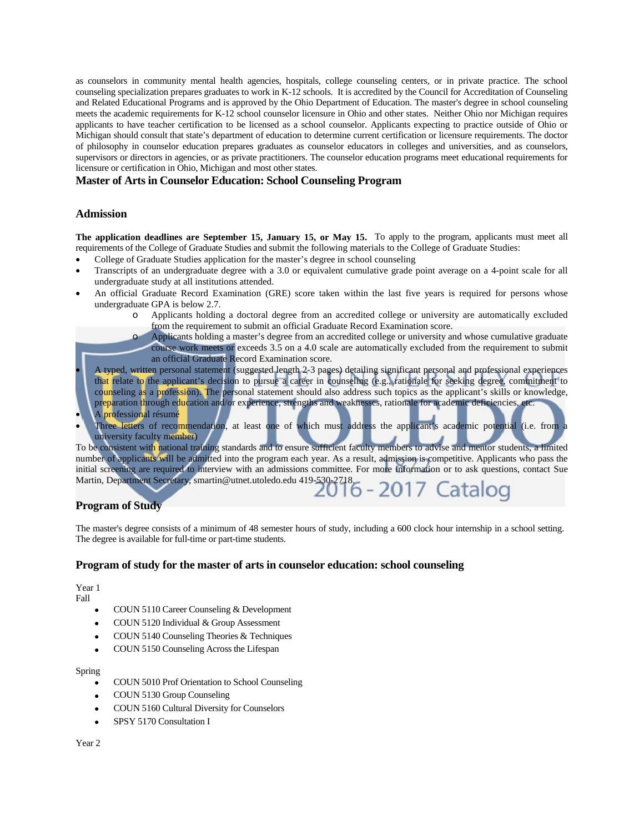as counselors in community mental health agencies, hospitals, college counseling centers, or in private practice. The school counseling specialization prepares graduates to work in K-12 schools. It is accredited by the Council for Accreditation of Counseling and Related Educational Programs and is approved by the Ohio Department of Education. The master's degree in school counseling meets the academic requirements for K-12 school counselor licensure in Ohio and other states. Neither Ohio nor Michigan requires applicants to have teacher certification to be licensed as a school counselor. Applicants expecting to practice outside of Ohio or Michigan should consult that state's department of education to determine current certification or licensure requirements. The doctor of philosophy in counselor education prepares graduates as counselor educators in colleges and universities, and as counselors, supervisors or directors in agencies, or as private practitioners. The counselor education programs meet educational requirements for licensure or certification in Ohio, Michigan and most other states.

### **Master of Arts in Counselor Education: School Counseling Program**

### **Admission**

**The application deadlines are September 15, January 15, or May 15.** To apply to the program, applicants must meet all requirements of the College of Graduate Studies and submit the following materials to the College of Graduate Studies:

- College of Graduate Studies application for the master's degree in school counseling
- Transcripts of an undergraduate degree with a 3.0 or equivalent cumulative grade point average on a 4-point scale for all undergraduate study at all institutions attended.
- An official Graduate Record Examination (GRE) score taken within the last five years is required for persons whose undergraduate GPA is below 2.7.
	- Applicants holding a doctoral degree from an accredited college or university are automatically excluded from the requirement to submit an official Graduate Record Examination score.
	- Applicants holding a master's degree from an accredited college or university and whose cumulative graduate course work meets or exceeds 3.5 on a 4.0 scale are automatically excluded from the requirement to submit an official Graduate Record Examination score.

• A typed, written personal statement (suggested length 2-3 pages) detailing significant personal and professional experiences that relate to the applicant's decision to pursue a career in counseling (e.g., rationale for seeking degree, commitment to counseling as a profession). The personal statement should also address such topics as the applicant's skills or knowledge, preparation through education and/or experience, strengths and weaknesses, rationale for academic deficiencies, etc.

- A professional résumé
- Three letters of recommendation, at least one of which must address the applicant's academic potential (i.e. from a university faculty member)

To be consistent with national training standards and to ensure sufficient faculty members to advise and mentor students, a limited number of applicants will be admitted into the program each year. As a result, admission is competitive. Applicants who pass the initial screening are required to interview with an admissions committee. For more information or to ask questions, contact Sue Martin, Department Secretary, smartin@utnet.utoledo.edu 419-530-2718.

## **Program of Study**

The master's degree consists of a minimum of 48 semester hours of study, including a 600 clock hour internship in a school setting. The degree is available for full-time or part-time students.

#### **Program of study for the master of arts in counselor education: school counseling**

Year 1 Fall

- COUN 5110 Career Counseling & Development
- COUN 5120 Individual & Group Assessment
- COUN 5140 Counseling Theories & Techniques
- COUN 5150 Counseling Across the Lifespan

#### Spring

- COUN 5010 Prof Orientation to School Counseling
- COUN 5130 Group Counseling
- COUN 5160 Cultural Diversity for Counselors
- SPSY 5170 Consultation I

Year 2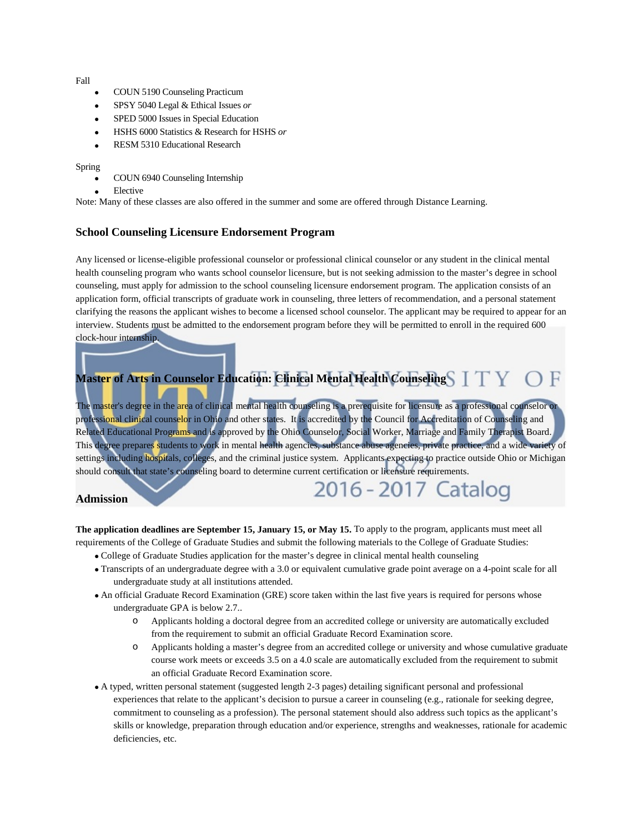Fall

- COUN 5190 Counseling Practicum
- SPSY 5040 Legal & Ethical Issues *or*
- SPED 5000 Issues in Special Education
- HSHS 6000 Statistics & Research for HSHS *or*
- RESM 5310 Educational Research

#### Spring

- COUN 6940 Counseling Internship
- **Elective**

Note: Many of these classes are also offered in the summer and some are offered through Distance Learning.

#### **School Counseling Licensure Endorsement Program**

Any licensed or license-eligible professional counselor or professional clinical counselor or any student in the clinical mental health counseling program who wants school counselor licensure, but is not seeking admission to the master's degree in school counseling, must apply for admission to the school counseling licensure endorsement program. The application consists of an application form, official transcripts of graduate work in counseling, three letters of recommendation, and a personal statement clarifying the reasons the applicant wishes to become a licensed school counselor. The applicant may be required to appear for an interview. Students must be admitted to the endorsement program before they will be permitted to enroll in the required 600 clock-hour internship.

## **Master of Arts in Counselor Education: Clinical Mental Health Counseling**

The master's degree in the area of clinical mental health counseling is a prerequisite for licensure as a professional counselor or professional clinical counselor in Ohio and other states. It is accredited by the Council for Accreditation of Counseling and Related Educational Programs and is approved by the Ohio Counselor, Social Worker, Marriage and Family Therapist Board. This degree prepares students to work in mental health agencies, substance abuse agencies, private practice, and a wide variety of settings including hospitals, colleges, and the criminal justice system. Applicants expecting to practice outside Ohio or Michigan should consult that state's counseling board to determine current certification or licensure requirements.

#### **Admission**

**The application deadlines are September 15, January 15, or May 15.** To apply to the program, applicants must meet all requirements of the College of Graduate Studies and submit the following materials to the College of Graduate Studies:

• College of Graduate Studies application for the master's degree in clinical mental health counseling

- Transcripts of an undergraduate degree with a 3.0 or equivalent cumulative grade point average on a 4-point scale for all undergraduate study at all institutions attended.
- An official Graduate Record Examination (GRE) score taken within the last five years is required for persons whose undergraduate GPA is below 2.7..
	- o Applicants holding a doctoral degree from an accredited college or university are automatically excluded from the requirement to submit an official Graduate Record Examination score.
	- o Applicants holding a master's degree from an accredited college or university and whose cumulative graduate course work meets or exceeds 3.5 on a 4.0 scale are automatically excluded from the requirement to submit an official Graduate Record Examination score.

2016 - 2017 Catalog

• A typed, written personal statement (suggested length 2-3 pages) detailing significant personal and professional experiences that relate to the applicant's decision to pursue a career in counseling (e.g., rationale for seeking degree, commitment to counseling as a profession). The personal statement should also address such topics as the applicant's skills or knowledge, preparation through education and/or experience, strengths and weaknesses, rationale for academic deficiencies, etc.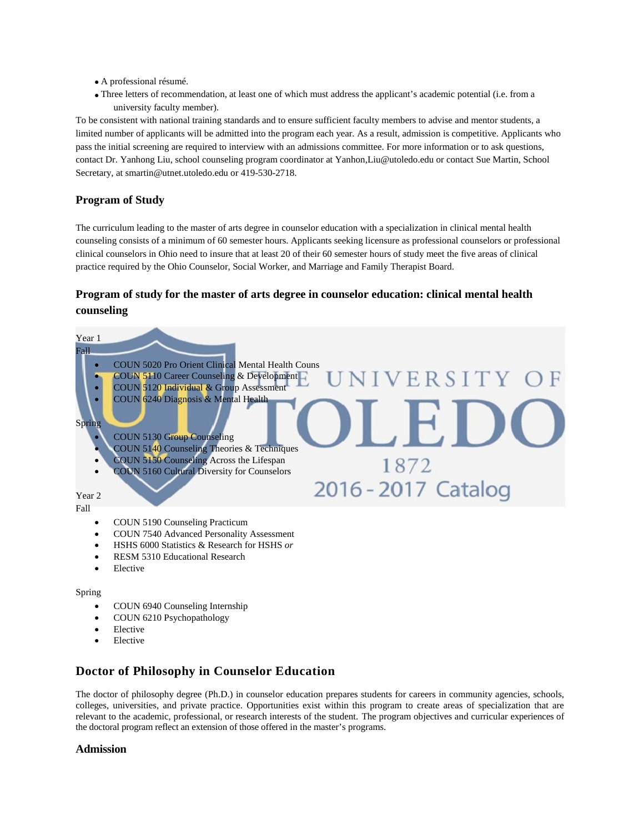- A professional résumé.
- Three letters of recommendation, at least one of which must address the applicant's academic potential (i.e. from a university faculty member).

To be consistent with national training standards and to ensure sufficient faculty members to advise and mentor students, a limited number of applicants will be admitted into the program each year. As a result, admission is competitive. Applicants who pass the initial screening are required to interview with an admissions committee. For more information or to ask questions, contact Dr. Yanhong Liu, school counseling program coordinator at Yanhon,Liu@utoledo.edu or contact Sue Martin, School Secretary, at smartin@utnet.utoledo.edu or 419-530-2718.

## **Program of Study**

The curriculum leading to the master of arts degree in counselor education with a specialization in clinical mental health counseling consists of a minimum of 60 semester hours. Applicants seeking licensure as professional counselors or professional clinical counselors in Ohio need to insure that at least 20 of their 60 semester hours of study meet the five areas of clinical practice required by the Ohio Counselor, Social Worker, and Marriage and Family Therapist Board.

## **Program of study for the master of arts degree in counselor education: clinical mental health counseling**



- HSHS 6000 Statistics & Research for HSHS *or*
- RESM 5310 Educational Research
- Elective

#### Spring

- COUN 6940 Counseling Internship
- COUN 6210 Psychopathology
- **Elective**
- **Elective**

## **Doctor of Philosophy in Counselor Education**

The doctor of philosophy degree (Ph.D.) in counselor education prepares students for careers in community agencies, schools, colleges, universities, and private practice. Opportunities exist within this program to create areas of specialization that are relevant to the academic, professional, or research interests of the student. The program objectives and curricular experiences of the doctoral program reflect an extension of those offered in the master's programs.

## **Admission**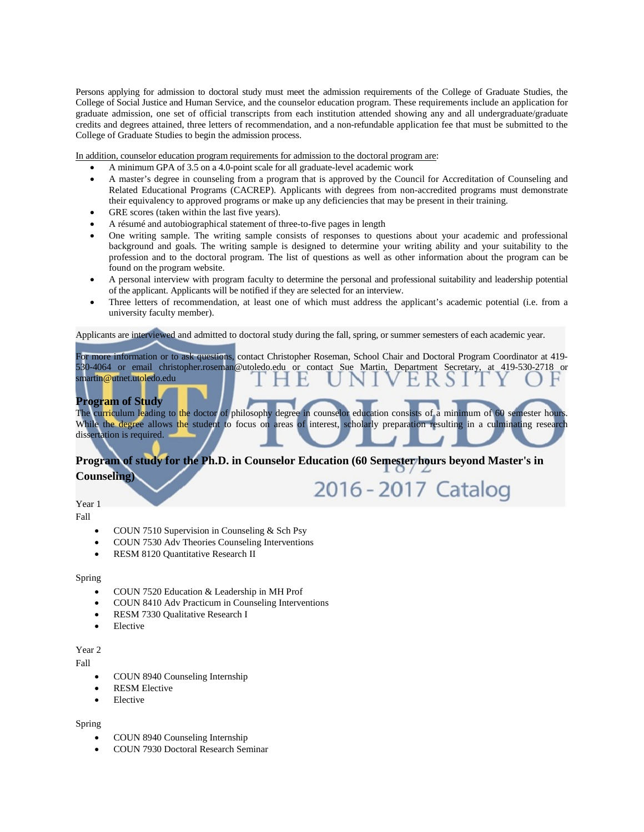Persons applying for admission to doctoral study must meet the admission requirements of the College of Graduate Studies, the College of Social Justice and Human Service, and the counselor education program. These requirements include an application for graduate admission, one set of official transcripts from each institution attended showing any and all undergraduate/graduate credits and degrees attained, three letters of recommendation, and a non-refundable application fee that must be submitted to the College of Graduate Studies to begin the admission process.

In addition, counselor education program requirements for admission to the doctoral program are:

- A minimum GPA of 3.5 on a 4.0-point scale for all graduate-level academic work
- A master's degree in counseling from a program that is approved by the Council for Accreditation of Counseling and Related Educational Programs (CACREP). Applicants with degrees from non-accredited programs must demonstrate their equivalency to approved programs or make up any deficiencies that may be present in their training.
- GRE scores (taken within the last five years).
- A résumé and autobiographical statement of three-to-five pages in length
- One writing sample. The writing sample consists of responses to questions about your academic and professional background and goals. The writing sample is designed to determine your writing ability and your suitability to the profession and to the doctoral program. The list of questions as well as other information about the program can be found on the program website.
- A personal interview with program faculty to determine the personal and professional suitability and leadership potential of the applicant. Applicants will be notified if they are selected for an interview.
- Three letters of recommendation, at least one of which must address the applicant's academic potential (i.e. from a university faculty member).

Applicants are interviewed and admitted to doctoral study during the fall, spring, or summer semesters of each academic year.

For more information or to ask questions, contact Christopher Roseman, School Chair and Doctoral Program Coordinator at 419- 530-4064 or email christopher.roseman@utoledo.edu or contact Sue Martin, Department Secretary, at 419-530-2718 or smartin@utnet.utoledo.edu

## **Program of Study**

The curriculum leading to the doctor of philosophy degree in counselor education consists of a minimum of 60 semester hours. While the degree allows the student to focus on areas of interest, scholarly preparation resulting in a culminating research dissertation is required.

## **Program of study for the Ph.D. in Counselor Education (60 Semester hours beyond Master's in Counseling)** 2016 - 2017 Catalog

Year 1

Fall

- COUN 7510 Supervision in Counseling & Sch Psy
- COUN 7530 Adv Theories Counseling Interventions
- RESM 8120 Quantitative Research II

#### Spring

- COUN 7520 Education & Leadership in MH Prof
- COUN 8410 Adv Practicum in Counseling Interventions
- RESM 7330 Qualitative Research I
- **Elective**

### Year 2

Fall

- COUN 8940 Counseling Internship
- **RESM Elective**
- Elective

#### Spring

- COUN 8940 Counseling Internship
- COUN 7930 Doctoral Research Seminar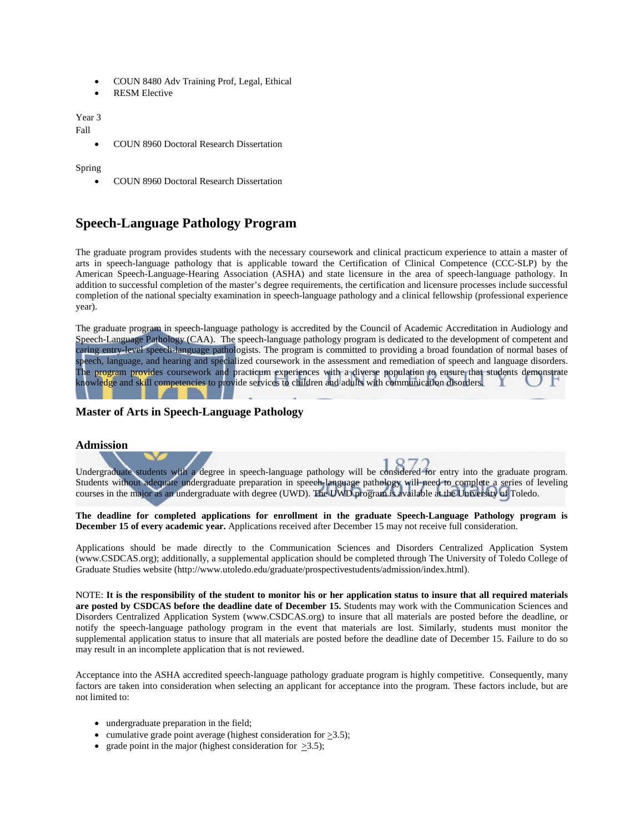- COUN 8480 Adv Training Prof, Legal, Ethical
- RESM Elective

Year 3

Fall

• COUN 8960 Doctoral Research Dissertation

Spring

• COUN 8960 Doctoral Research Dissertation

## **Speech-Language Pathology Program**

The graduate program provides students with the necessary coursework and clinical practicum experience to attain a master of arts in speech-language pathology that is applicable toward the Certification of Clinical Competence (CCC-SLP) by the American Speech-Language-Hearing Association (ASHA) and state licensure in the area of speech-language pathology. In addition to successful completion of the master's degree requirements, the certification and licensure processes include successful completion of the national specialty examination in speech-language pathology and a clinical fellowship (professional experience year).

The graduate program in speech-language pathology is accredited by the Council of Academic Accreditation in Audiology and Speech-Language Pathology (CAA). The speech-language pathology program is dedicated to the development of competent and caring entry-level speech-language pathologists. The program is committed to providing a broad foundation of normal bases of speech, language, and hearing and specialized coursework in the assessment and remediation of speech and language disorders. The program provides coursework and practicum experiences with a diverse population to ensure that students demonstrate knowledge and skill competencies to provide services to children and adults with communication disorders.

## **Master of Arts in Speech-Language Pathology**

#### **Admission**

Undergraduate students with a degree in speech-language pathology will be considered for entry into the graduate program. Students without adequate undergraduate preparation in speech-language pathology will need to complete a series of leveling courses in the major as an undergraduate with degree (UWD). The UWD program is available at the University of Toledo.

**The deadline for completed applications for enrollment in the graduate Speech-Language Pathology program is December 15 of every academic year.** Applications received after December 15 may not receive full consideration.

Applications should be made directly to the Communication Sciences and Disorders Centralized Application System [\(www.CSDCAS.org\)](http://www.csdcas.org/); additionally, a supplemental application should be completed through The University of Toledo College of Graduate Studies website [\(http://www.utoledo.edu/graduate/prospectivestudents/admission/index.html\)](http://www.utoledo.edu/graduate/prospectivestudents/admission/index.html).

NOTE: **It is the responsibility of the student to monitor his or her application status to insure that all required materials are posted by CSDCAS before the deadline date of December 15.** Students may work with the Communication Sciences and Disorders Centralized Application System [\(www.CSDCAS.org\)](http://www.csdcas.org/) to insure that all materials are posted before the deadline, or notify the speech-language pathology program in the event that materials are lost. Similarly, students must monitor the supplemental application status to insure that all materials are posted before the deadline date of December 15. Failure to do so may result in an incomplete application that is not reviewed.

Acceptance into the ASHA accredited speech-language pathology graduate program is highly competitive. Consequently, many factors are taken into consideration when selecting an applicant for acceptance into the program. These factors include, but are not limited to:

- undergraduate preparation in the field;
- cumulative grade point average (highest consideration for  $\geq 3.5$ );
- grade point in the major (highest consideration for  $>3.5$ );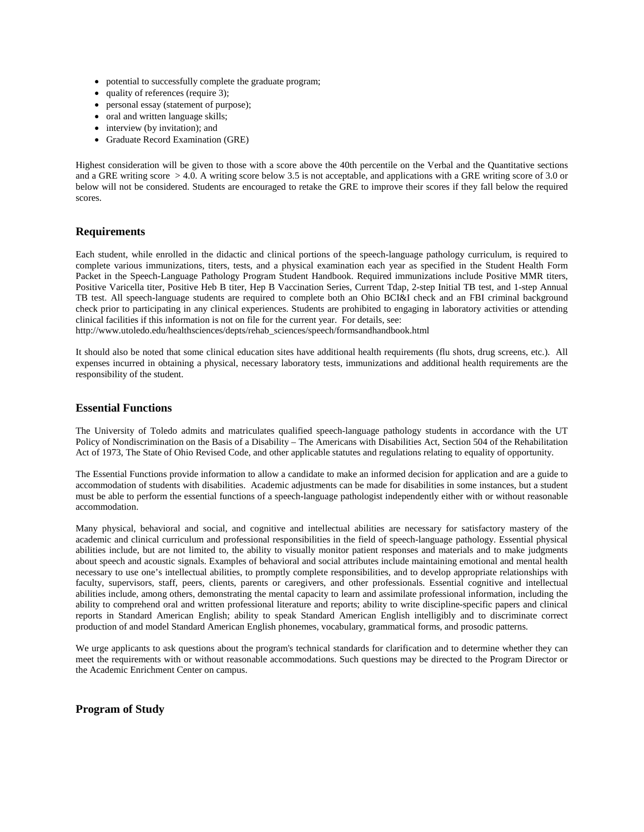- potential to successfully complete the graduate program;
- quality of references (require 3);
- personal essay (statement of purpose);
- oral and written language skills;
- interview (by invitation); and
- Graduate Record Examination (GRE)

Highest consideration will be given to those with a score above the 40th percentile on the Verbal and the Quantitative sections and a GRE writing score  $> 4.0$ . A writing score below 3.5 is not acceptable, and applications with a GRE writing score of 3.0 or below will not be considered. Students are encouraged to retake the GRE to improve their scores if they fall below the required scores.

### **Requirements**

Each student, while enrolled in the didactic and clinical portions of the speech-language pathology curriculum, is required to complete various immunizations, titers, tests, and a physical examination each year as specified in the Student Health Form Packet in the Speech-Language Pathology Program Student Handbook. Required immunizations include Positive MMR titers, Positive Varicella titer, Positive Heb B titer, Hep B Vaccination Series, Current Tdap, 2-step Initial TB test, and 1-step Annual TB test. All speech-language students are required to complete both an Ohio BCI&I check and an FBI criminal background check prior to participating in any clinical experiences. Students are prohibited to engaging in laboratory activities or attending clinical facilities if this information is not on file for the current year. For details, see:

[http://www.utoledo.edu/healthsciences/depts/rehab\\_sciences/speech/formsandhandbook.html](http://www.utoledo.edu/healthsciences/depts/rehab_sciences/speech/formsandhandbook.html)

It should also be noted that some clinical education sites have additional health requirements (flu shots, drug screens, etc.). All expenses incurred in obtaining a physical, necessary laboratory tests, immunizations and additional health requirements are the responsibility of the student.

#### **Essential Functions**

The University of Toledo admits and matriculates qualified speech-language pathology students in accordance with the UT Policy of Nondiscrimination on the Basis of a Disability – The Americans with Disabilities Act, Section 504 of the Rehabilitation Act of 1973, The State of Ohio Revised Code, and other applicable statutes and regulations relating to equality of opportunity.

The Essential Functions provide information to allow a candidate to make an informed decision for application and are a guide to accommodation of students with disabilities. Academic adjustments can be made for disabilities in some instances, but a student must be able to perform the essential functions of a speech-language pathologist independently either with or without reasonable accommodation.

Many physical, behavioral and social, and cognitive and intellectual abilities are necessary for satisfactory mastery of the academic and clinical curriculum and professional responsibilities in the field of speech-language pathology. Essential physical abilities include, but are not limited to, the ability to visually monitor patient responses and materials and to make judgments about speech and acoustic signals. Examples of behavioral and social attributes include maintaining emotional and mental health necessary to use one's intellectual abilities, to promptly complete responsibilities, and to develop appropriate relationships with faculty, supervisors, staff, peers, clients, parents or caregivers, and other professionals. Essential cognitive and intellectual abilities include, among others, demonstrating the mental capacity to learn and assimilate professional information, including the ability to comprehend oral and written professional literature and reports; ability to write discipline-specific papers and clinical reports in Standard American English; ability to speak Standard American English intelligibly and to discriminate correct production of and model Standard American English phonemes, vocabulary, grammatical forms, and prosodic patterns.

We urge applicants to ask questions about the program's technical standards for clarification and to determine whether they can meet the requirements with or without reasonable accommodations. Such questions may be directed to the Program Director or the Academic Enrichment Center on campus.

**Program of Study**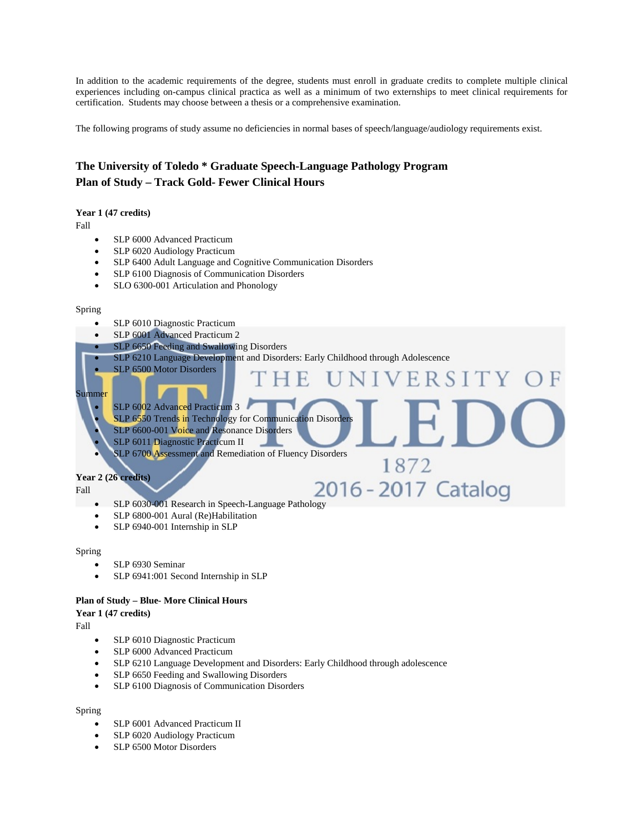In addition to the academic requirements of the degree, students must enroll in graduate credits to complete multiple clinical experiences including on-campus clinical practica as well as a minimum of two externships to meet clinical requirements for certification. Students may choose between a thesis or a comprehensive examination.

The following programs of study assume no deficiencies in normal bases of speech/language/audiology requirements exist.

## **The University of Toledo \* Graduate Speech-Language Pathology Program Plan of Study – Track Gold- Fewer Clinical Hours**

#### **Year 1 (47 credits)**

Fall

- SLP 6000 Advanced Practicum
- SLP 6020 Audiology Practicum
- SLP 6400 Adult Language and Cognitive Communication Disorders
- SLP 6100 Diagnosis of Communication Disorders
- SLO 6300-001 Articulation and Phonology

#### Spring

- SLP 6010 Diagnostic Practicum
- SLP 6001 Advanced Practicum 2

SLP 6500 Motor Disorders

- SLP 6650 Feeding and Swallowing Disorders
- SLP 6210 Language Development and Disorders: Early Childhood through Adolescence

H.

1872

R S

### Summer

- SLP 6002 Advanced Practicum 3
	- SLP 6550 Trends in Technology for Communication Disorder
	- SLP 6600-001 Voice and Resonance Disorders
	- SLP 6011 Diagnostic Practicum II
	- SLP 6700 Assessment and Remediation of Fluency Disorders

### **Year 2 (26 credits)**

Fall

- SLP 6030-001 Research in Speech-Language Pathology<br>
SLP 6030-001 Research in Speech-Language Pathology
- SLP 6800-001 Aural (Re)Habilitation
- SLP 6940-001 Internship in SLP

#### Spring

- SLP 6930 Seminar
- SLP 6941:001 Second Internship in SLP

#### **Plan of Study – Blue- More Clinical Hours**

#### **Year 1 (47 credits)**

Fall

- SLP 6010 Diagnostic Practicum
- SLP 6000 Advanced Practicum
- SLP 6210 Language Development and Disorders: Early Childhood through adolescence
- SLP 6650 Feeding and Swallowing Disorders
- SLP 6100 Diagnosis of Communication Disorders

#### Spring

- SLP 6001 Advanced Practicum II
- SLP 6020 Audiology Practicum
- SLP 6500 Motor Disorders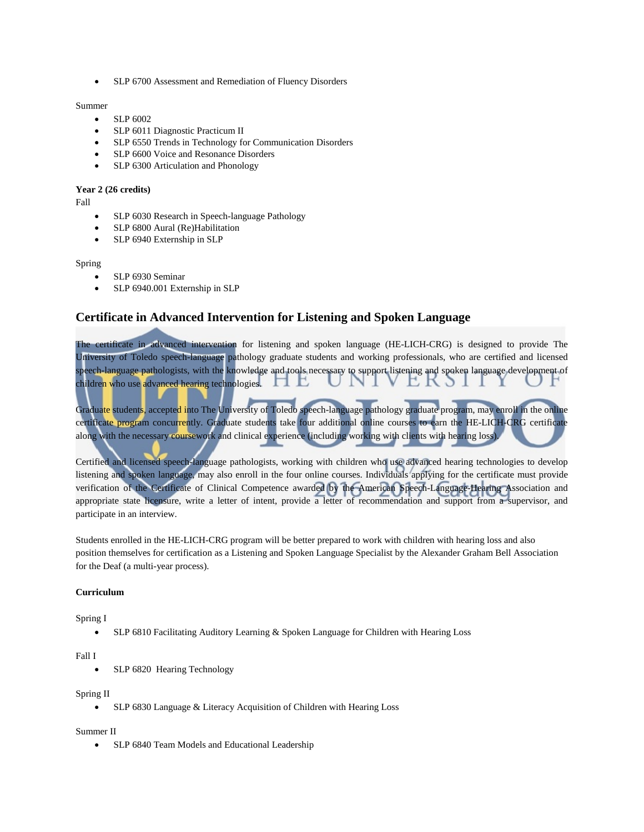• SLP 6700 Assessment and Remediation of Fluency Disorders

Summer

- SLP 6002
- SLP 6011 Diagnostic Practicum II
- SLP 6550 Trends in Technology for Communication Disorders
- SLP 6600 Voice and Resonance Disorders
- SLP 6300 Articulation and Phonology

#### **Year 2 (26 credits)**

Fall

- SLP 6030 Research in Speech-language Pathology
- SLP 6800 Aural (Re)Habilitation
- SLP 6940 Externship in SLP

#### Spring

- SLP 6930 Seminar
- SLP 6940.001 Externship in SLP

## **Certificate in Advanced Intervention for Listening and Spoken Language**

The certificate in advanced intervention for listening and spoken language (HE-LICH-CRG) is designed to provide The University of Toledo speech-language pathology graduate students and working professionals, who are certified and licensed speech-language pathologists, with the knowledge and tools necessary to support listening and spoken language development of children who use advanced hearing technologies.  $\mathbf{\Pi}$ 

Graduate students, accepted into The University of Toledo speech-language pathology graduate program, may enroll in the online certificate program concurrently. Graduate students take four additional online courses to earn the HE-LICH-CRG certificate along with the necessary coursework and clinical experience (including working with clients with hearing loss).

Certified and licensed speech-language pathologists, working with children who use advanced hearing technologies to develop listening and spoken language, may also enroll in the four online courses. Individuals applying for the certificate must provide verification of the Certificate of Clinical Competence awarded by the American Speech-Language-Hearing Association and appropriate state licensure, write a letter of intent, provide a letter of recommendation and support from a supervisor, and participate in an interview.

Students enrolled in the HE-LICH-CRG program will be better prepared to work with children with hearing loss and also position themselves for certification as a Listening and Spoken Language Specialist by the Alexander Graham Bell Association for the Deaf (a multi-year process).

#### **Curriculum**

## Spring I

• SLP 6810 Facilitating Auditory Learning & Spoken Language for Children with Hearing Loss

#### Fall I

SLP 6820 Hearing Technology

#### Spring II

• SLP 6830 Language & Literacy Acquisition of Children with Hearing Loss

#### Summer II

• SLP 6840 Team Models and Educational Leadership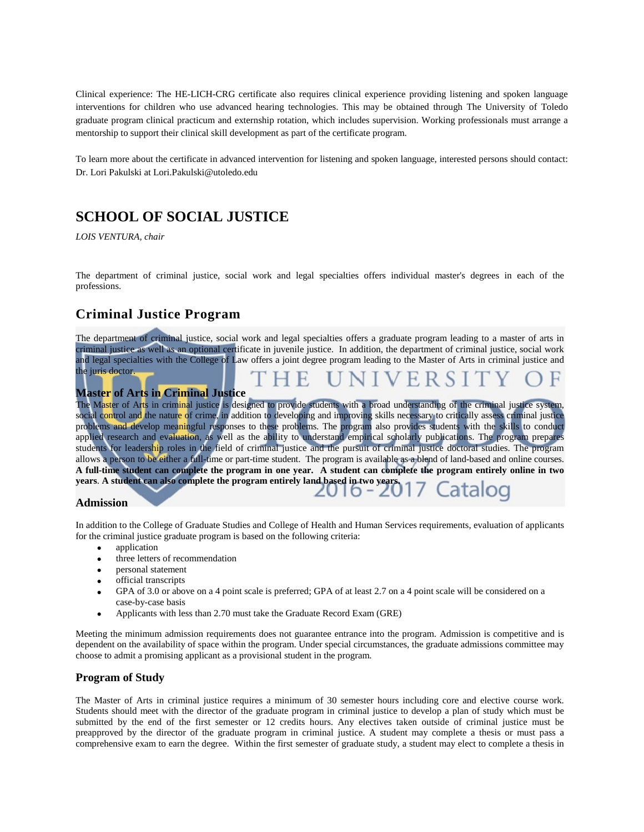Clinical experience: The HE-LICH-CRG certificate also requires clinical experience providing listening and spoken language interventions for children who use advanced hearing technologies. This may be obtained through The University of Toledo graduate program clinical practicum and externship rotation, which includes supervision. Working professionals must arrange a mentorship to support their clinical skill development as part of the certificate program.

To learn more about the certificate in advanced intervention for listening and spoken language, interested persons should contact: Dr. Lori Pakulski a[t Lori.Pakulski@utoledo.edu](mailto:Lori.Pakulski@utoledo.edu)

## **SCHOOL OF SOCIAL JUSTICE**

*LOIS VENTURA, chair*

The department of criminal justice, social work and legal specialties offers individual master's degrees in each of the professions.

## **Criminal Justice Program**

The department of criminal justice, social work and legal specialties offers a graduate program leading to a master of arts in criminal justice as well as an optional certificate in juvenile justice. In addition, the department of criminal justice, social work and legal specialties with the College of Law offers a joint degree program leading to the Master of Arts in criminal justice and the juris doctor.

## **Master of Arts in Criminal Justice**

The Master of Arts in criminal justice is designed to provide students with a broad understanding of the criminal justice system, social control and the nature of crime, in addition to developing and improving skills necessary to critically assess criminal justice problems and develop meaningful responses to these problems. The program also provides students with the skills to conduct applied research and evaluation, as well as the ability to understand empirical scholarly publications. The program prepares students for leadership roles in the field of criminal justice and the pursuit of criminal justice doctoral studies. The program allows a person to be either a full-time or part-time student. The program is available as a blend of land-based and online courses. **A full-time student can complete the program in one year. A student can complete the program entirely online in two years**. **A student can also complete the program entirely land based in two years.**

#### **Admission**

In addition to the College of Graduate Studies and College of Health and Human Services requirements, evaluation of applicants for the criminal justice graduate program is based on the following criteria:

- application
- three letters of recommendation
- personal statement
- official transcripts
- GPA of 3.0 or above on a 4 point scale is preferred; GPA of at least 2.7 on a 4 point scale will be considered on a case-by-case basis
- Applicants with less than 2.70 must take the Graduate Record Exam (GRE)

Meeting the minimum admission requirements does not guarantee entrance into the program. Admission is competitive and is dependent on the availability of space within the program. Under special circumstances, the graduate admissions committee may choose to admit a promising applicant as a provisional student in the program.

## **Program of Study**

The Master of Arts in criminal justice requires a minimum of 30 semester hours including core and elective course work. Students should meet with the director of the graduate program in criminal justice to develop a plan of study which must be submitted by the end of the first semester or 12 credits hours. Any electives taken outside of criminal justice must be preapproved by the director of the graduate program in criminal justice. A student may complete a thesis or must pass a comprehensive exam to earn the degree. Within the first semester of graduate study, a student may elect to complete a thesis in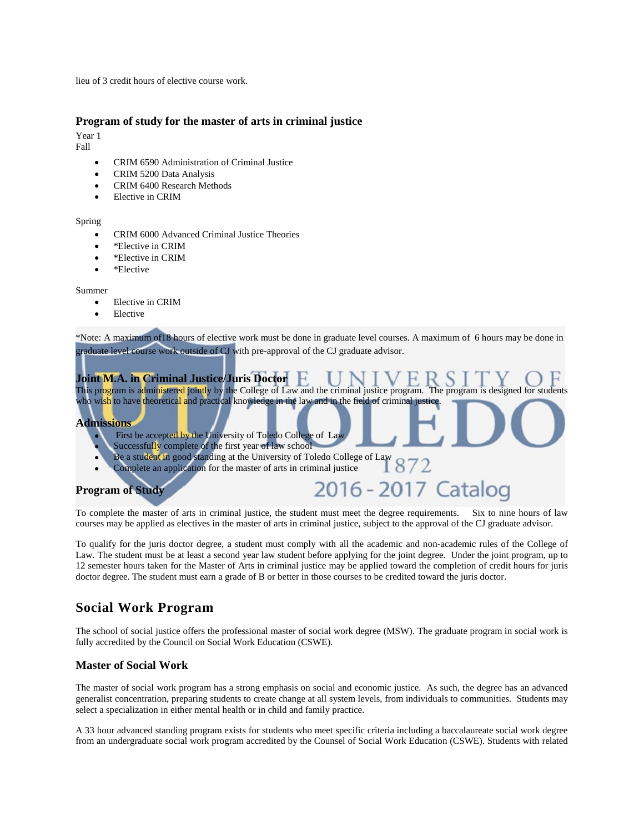lieu of 3 credit hours of elective course work.

### **Program of study for the master of arts in criminal justice**

Year 1

Fall

- CRIM 6590 Administration of Criminal Justice
- CRIM 5200 Data Analysis
- CRIM 6400 Research Methods
- Elective in CRIM

#### Spring

- CRIM 6000 Advanced Criminal Justice Theories
- \*Elective in CRIM
- \*Elective in CRIM
- \*Elective

#### Summer

- **Elective in CRIM**
- Elective

\*Note: A maximum of18 hours of elective work must be done in graduate level courses. A maximum of 6 hours may be done in graduate level course work outside of CJ with pre-approval of the CJ graduate advisor.



To complete the master of arts in criminal justice, the student must meet the degree requirements. Six to nine hours of law courses may be applied as electives in the master of arts in criminal justice, subject to the approval of the CJ graduate advisor.

To qualify for the juris doctor degree, a student must comply with all the academic and non-academic rules of the College of Law. The student must be at least a second year law student before applying for the joint degree. Under the joint program, up to 12 semester hours taken for the Master of Arts in criminal justice may be applied toward the completion of credit hours for juris doctor degree. The student must earn a grade of B or better in those courses to be credited toward the juris doctor.

## **Social Work Program**

The school of social justice offers the professional master of social work degree (MSW). The graduate program in social work is fully accredited by the Council on Social Work Education (CSWE).

## **Master of Social Work**

The master of social work program has a strong emphasis on social and economic justice. As such, the degree has an advanced generalist concentration, preparing students to create change at all system levels, from individuals to communities. Students may select a specialization in either mental health or in child and family practice.

A 33 hour advanced standing program exists for students who meet specific criteria including a baccalaureate social work degree from an undergraduate social work program accredited by the Counsel of Social Work Education (CSWE). Students with related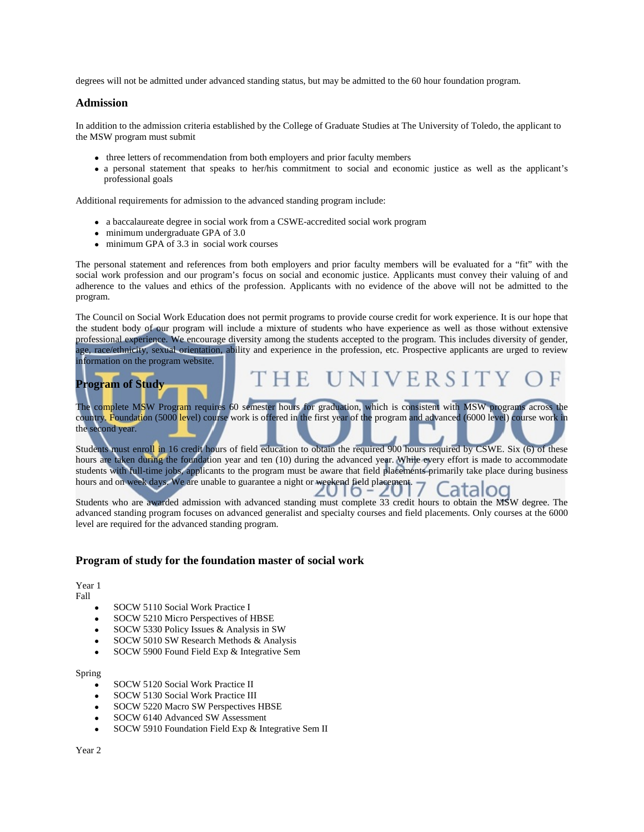degrees will not be admitted under advanced standing status, but may be admitted to the 60 hour foundation program.

#### **Admission**

In addition to the admission criteria established by the College of Graduate Studies at The University of Toledo, the applicant to the MSW program must submit

- three letters of recommendation from both employers and prior faculty members
- a personal statement that speaks to her/his commitment to social and economic justice as well as the applicant's professional goals

Additional requirements for admission to the advanced standing program include:

- a baccalaureate degree in social work from a CSWE-accredited social work program
- minimum undergraduate GPA of 3.0
- minimum GPA of 3.3 in social work courses

The personal statement and references from both employers and prior faculty members will be evaluated for a "fit" with the social work profession and our program's focus on social and economic justice. Applicants must convey their valuing of and adherence to the values and ethics of the profession. Applicants with no evidence of the above will not be admitted to the program.

The Council on Social Work Education does not permit programs to provide course credit for work experience. It is our hope that the student body of our program will include a mixture of students who have experience as well as those without extensive professional experience. We encourage diversity among the students accepted to the program. This includes diversity of gender, age, race/ethnicity, sexual orientation, ability and experience in the profession, etc. Prospective applicants are urged to review information on the program website.

HE UNIVERSIT

## **Program of Study**

The complete MSW Program requires 60 semester hours for graduation, which is consistent with MSW programs across the country. Foundation (5000 level) course work is offered in the first year of the program and advanced (6000 level) course work in the second year.

Students must enroll in 16 credit hours of field education to obtain the required 900 hours required by CSWE. Six (6) of these hours are taken during the foundation year and ten (10) during the advanced year. While every effort is made to accommodate students with full-time jobs, applicants to the program must be aware that field placements primarily take place during business hours and on week days. We are unable to guarantee a night or weekend field placement. taloc

Students who are awarded admission with advanced standing must complete 33 credit hours to obtain the MSW degree. The advanced standing program focuses on advanced generalist and specialty courses and field placements. Only courses at the 6000 level are required for the advanced standing program.

#### **Program of study for the foundation master of social work**

Year 1 Fall

- SOCW 5110 Social Work Practice I
- SOCW 5210 Micro Perspectives of HBSE
- SOCW 5330 Policy Issues & Analysis in SW
- SOCW 5010 SW Research Methods & Analysis
- SOCW 5900 Found Field Exp & Integrative Sem

#### Spring

- SOCW 5120 Social Work Practice II
- SOCW 5130 Social Work Practice III
- SOCW 5220 Macro SW Perspectives HBSE
- SOCW 6140 Advanced SW Assessment
- SOCW 5910 Foundation Field Exp & Integrative Sem II